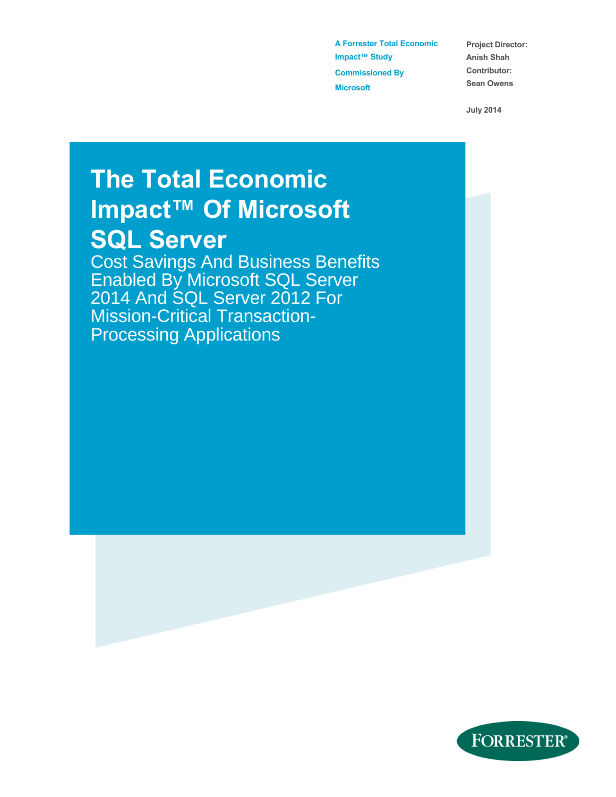**A Forrester Total Economic Impact™ Study Commissioned By Microsoft**

**Project Director: Anish Shah Contributor: Sean Owens**

**July 2014**

# **The Total Economic Impact™ Of Microsoft SQL Server**

Cost Savings And Business Benefits Enabled By Microsoft SQL Server 2014 And SQL Server 2012 For Mission-Critical Transaction-Processing Applications

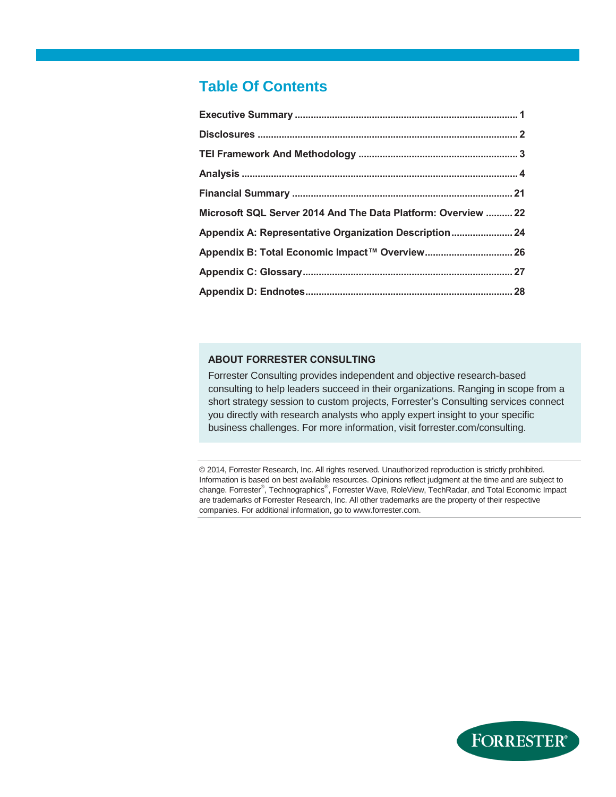### **Table Of Contents**

| Microsoft SQL Server 2014 And The Data Platform: Overview  22 |
|---------------------------------------------------------------|
|                                                               |
|                                                               |
|                                                               |
|                                                               |

#### **ABOUT FORRESTER CONSULTING**

Forrester Consulting provides independent and objective research-based consulting to help leaders succeed in their organizations. Ranging in scope from a short strategy session to custom projects, Forrester's Consulting services connect you directly with research analysts who apply expert insight to your specific business challenges. For more information, visit forrester.com/consulting.

© 2014, Forrester Research, Inc. All rights reserved. Unauthorized reproduction is strictly prohibited. Information is based on best available resources. Opinions reflect judgment at the time and are subject to change. Forrester®, Technographics®, Forrester Wave, RoleView, TechRadar, and Total Economic Impact are trademarks of Forrester Research, Inc. All other trademarks are the property of their respective companies. For additional information, go to www.forrester.com.

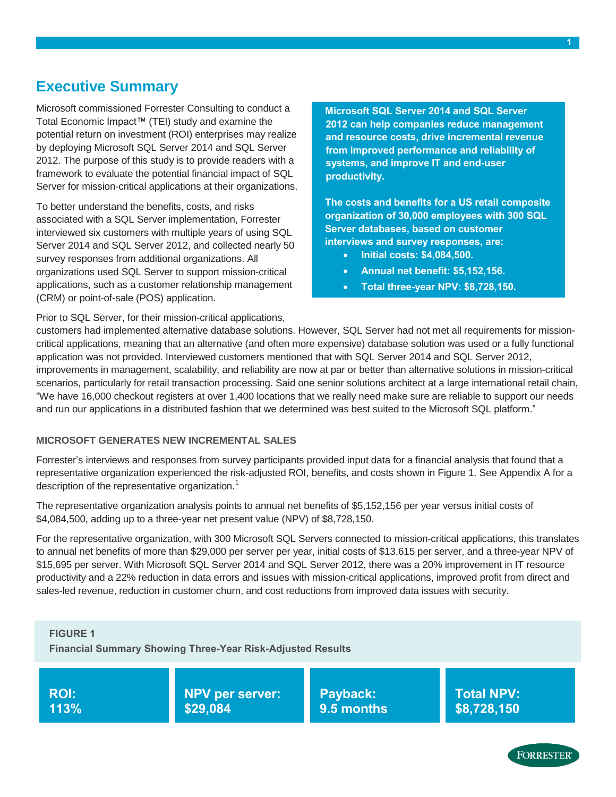### <span id="page-2-0"></span>**Executive Summary**

Microsoft commissioned Forrester Consulting to conduct a Total Economic Impact™ (TEI) study and examine the potential return on investment (ROI) enterprises may realize by deploying Microsoft SQL Server 2014 and SQL Server 2012. The purpose of this study is to provide readers with a framework to evaluate the potential financial impact of SQL Server for mission-critical applications at their organizations.

To better understand the benefits, costs, and risks associated with a SQL Server implementation, Forrester interviewed six customers with multiple years of using SQL Server 2014 and SQL Server 2012, and collected nearly 50 survey responses from additional organizations. All organizations used SQL Server to support mission-critical applications, such as a customer relationship management (CRM) or point-of-sale (POS) application.

**Microsoft SQL Server 2014 and SQL Server 2012 can help companies reduce management and resource costs, drive incremental revenue from improved performance and reliability of systems, and improve IT and end-user productivity.** 

**The costs and benefits for a US retail composite organization of 30,000 employees with 300 SQL Server databases, based on customer interviews and survey responses, are:**

- **Initial costs: \$4,084,500.**
- **Annual net benefit: \$5,152,156.**
- **Total three-year NPV: \$8,728,150.**

Prior to SQL Server, for their mission-critical applications,

customers had implemented alternative database solutions. However, SQL Server had not met all requirements for missioncritical applications, meaning that an alternative (and often more expensive) database solution was used or a fully functional application was not provided. Interviewed customers mentioned that with SQL Server 2014 and SQL Server 2012, improvements in management, scalability, and reliability are now at par or better than alternative solutions in mission-critical scenarios, particularly for retail transaction processing. Said one senior solutions architect at a large international retail chain, "We have 16,000 checkout registers at over 1,400 locations that we really need make sure are reliable to support our needs and run our applications in a distributed fashion that we determined was best suited to the Microsoft SQL platform."

#### **MICROSOFT GENERATES NEW INCREMENTAL SALES**

Forrester's interviews and responses from survey participants provided input data for a financial analysis that found that a representative organization experienced the risk-adjusted ROI, benefits, and costs shown in Figure 1. See Appendix A for a description of the representative organization.<sup>1</sup>

The representative organization analysis points to annual net benefits of \$5,152,156 per year versus initial costs of \$4,084,500, adding up to a three-year net present value (NPV) of \$8,728,150.

For the representative organization, with 300 Microsoft SQL Servers connected to mission-critical applications, this translates to annual net benefits of more than \$29,000 per server per year, initial costs of \$13,615 per server, and a three-year NPV of \$15,695 per server. With Microsoft SQL Server 2014 and SQL Server 2012, there was a 20% improvement in IT resource productivity and a 22% reduction in data errors and issues with mission-critical applications, improved profit from direct and sales-led revenue, reduction in customer churn, and cost reductions from improved data issues with security.



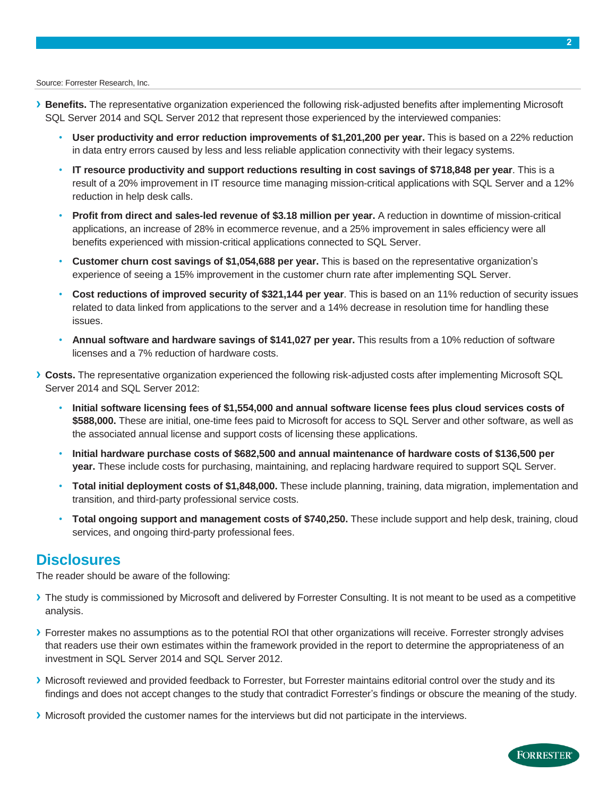Source: Forrester Research, Inc.

- **› Benefits.** The representative organization experienced the following risk-adjusted benefits after implementing Microsoft SQL Server 2014 and SQL Server 2012 that represent those experienced by the interviewed companies:
	- **User productivity and error reduction improvements of \$1,201,200 per year.** This is based on a 22% reduction in data entry errors caused by less and less reliable application connectivity with their legacy systems.
	- **IT resource productivity and support reductions resulting in cost savings of \$718,848 per year**. This is a result of a 20% improvement in IT resource time managing mission-critical applications with SQL Server and a 12% reduction in help desk calls.
	- **Profit from direct and sales-led revenue of \$3.18 million per year.** A reduction in downtime of mission-critical applications, an increase of 28% in ecommerce revenue, and a 25% improvement in sales efficiency were all benefits experienced with mission-critical applications connected to SQL Server.
	- **Customer churn cost savings of \$1,054,688 per year.** This is based on the representative organization's experience of seeing a 15% improvement in the customer churn rate after implementing SQL Server.
	- **Cost reductions of improved security of \$321,144 per year**. This is based on an 11% reduction of security issues related to data linked from applications to the server and a 14% decrease in resolution time for handling these issues.
	- **Annual software and hardware savings of \$141,027 per year.** This results from a 10% reduction of software licenses and a 7% reduction of hardware costs.
- **› Costs.** The representative organization experienced the following risk-adjusted costs after implementing Microsoft SQL Server 2014 and SQL Server 2012:
	- **Initial software licensing fees of \$1,554,000 and annual software license fees plus cloud services costs of \$588,000.** These are initial, one-time fees paid to Microsoft for access to SQL Server and other software, as well as the associated annual license and support costs of licensing these applications.
	- **Initial hardware purchase costs of \$682,500 and annual maintenance of hardware costs of \$136,500 per year.** These include costs for purchasing, maintaining, and replacing hardware required to support SQL Server.
	- **Total initial deployment costs of \$1,848,000.** These include planning, training, data migration, implementation and transition, and third-party professional service costs.
	- **Total ongoing support and management costs of \$740,250.** These include support and help desk, training, cloud services, and ongoing third-party professional fees.

### <span id="page-3-0"></span>**Disclosures**

The reader should be aware of the following:

- **›** The study is commissioned by Microsoft and delivered by Forrester Consulting. It is not meant to be used as a competitive analysis.
- **›** Forrester makes no assumptions as to the potential ROI that other organizations will receive. Forrester strongly advises that readers use their own estimates within the framework provided in the report to determine the appropriateness of an investment in SQL Server 2014 and SQL Server 2012.
- **›** Microsoft reviewed and provided feedback to Forrester, but Forrester maintains editorial control over the study and its findings and does not accept changes to the study that contradict Forrester's findings or obscure the meaning of the study.
- **›** Microsoft provided the customer names for the interviews but did not participate in the interviews.

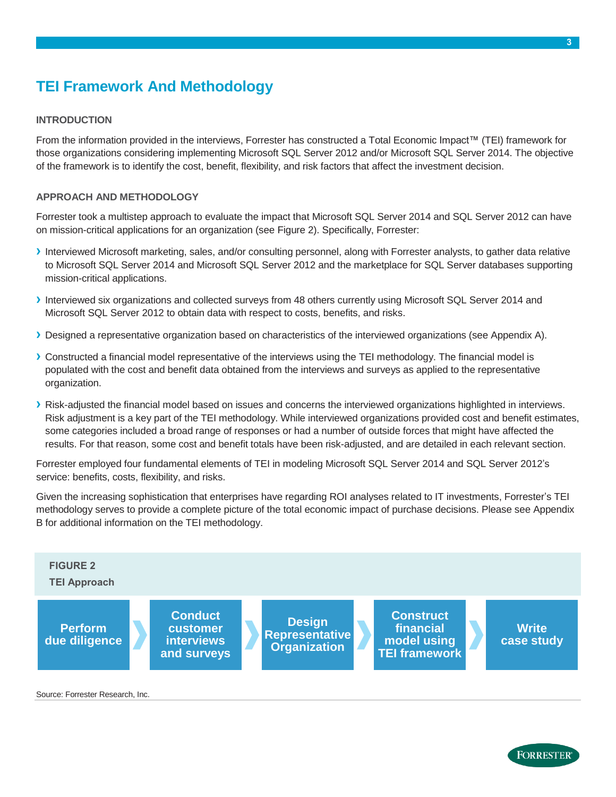# <span id="page-4-0"></span>**TEI Framework And Methodology**

#### **INTRODUCTION**

From the information provided in the interviews, Forrester has constructed a Total Economic Impact™ (TEI) framework for those organizations considering implementing Microsoft SQL Server 2012 and/or Microsoft SQL Server 2014. The objective of the framework is to identify the cost, benefit, flexibility, and risk factors that affect the investment decision.

#### **APPROACH AND METHODOLOGY**

Forrester took a multistep approach to evaluate the impact that Microsoft SQL Server 2014 and SQL Server 2012 can have on mission-critical applications for an organization (see Figure 2). Specifically, Forrester:

- **›** Interviewed Microsoft marketing, sales, and/or consulting personnel, along with Forrester analysts, to gather data relative to Microsoft SQL Server 2014 and Microsoft SQL Server 2012 and the marketplace for SQL Server databases supporting mission-critical applications.
- **›** Interviewed six organizations and collected surveys from 48 others currently using Microsoft SQL Server 2014 and Microsoft SQL Server 2012 to obtain data with respect to costs, benefits, and risks.
- **›** Designed a representative organization based on characteristics of the interviewed organizations (see Appendix A).
- **›** Constructed a financial model representative of the interviews using the TEI methodology. The financial model is populated with the cost and benefit data obtained from the interviews and surveys as applied to the representative organization.
- **›** Risk-adjusted the financial model based on issues and concerns the interviewed organizations highlighted in interviews. Risk adjustment is a key part of the TEI methodology. While interviewed organizations provided cost and benefit estimates, some categories included a broad range of responses or had a number of outside forces that might have affected the results. For that reason, some cost and benefit totals have been risk-adjusted, and are detailed in each relevant section.

Forrester employed four fundamental elements of TEI in modeling Microsoft SQL Server 2014 and SQL Server 2012's service: benefits, costs, flexibility, and risks.

Given the increasing sophistication that enterprises have regarding ROI analyses related to IT investments, Forrester's TEI methodology serves to provide a complete picture of the total economic impact of purchase decisions. Please see Appendix B for additional information on the TEI methodology.



Source: Forrester Research, Inc.



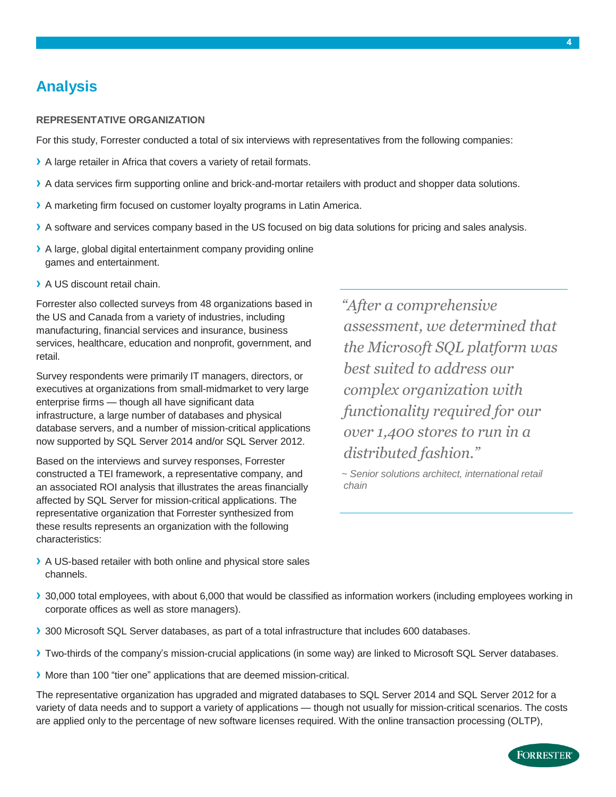### <span id="page-5-0"></span>**Analysis**

#### **REPRESENTATIVE ORGANIZATION**

For this study, Forrester conducted a total of six interviews with representatives from the following companies:

- **›** A large retailer in Africa that covers a variety of retail formats.
- **›** A data services firm supporting online and brick-and-mortar retailers with product and shopper data solutions.
- **›** A marketing firm focused on customer loyalty programs in Latin America.
- **›** A software and services company based in the US focused on big data solutions for pricing and sales analysis.
- **›** A large, global digital entertainment company providing online games and entertainment.
- **›** A US discount retail chain.

Forrester also collected surveys from 48 organizations based in the US and Canada from a variety of industries, including manufacturing, financial services and insurance, business services, healthcare, education and nonprofit, government, and retail.

Survey respondents were primarily IT managers, directors, or executives at organizations from small-midmarket to very large enterprise firms — though all have significant data infrastructure, a large number of databases and physical database servers, and a number of mission-critical applications now supported by SQL Server 2014 and/or SQL Server 2012.

Based on the interviews and survey responses, Forrester constructed a TEI framework, a representative company, and an associated ROI analysis that illustrates the areas financially affected by SQL Server for mission-critical applications. The representative organization that Forrester synthesized from these results represents an organization with the following characteristics:

*"After a comprehensive assessment, we determined that the Microsoft SQL platform was best suited to address our complex organization with functionality required for our over 1,400 stores to run in a distributed fashion."*

*~ Senior solutions architect, international retail chain*

- **›** A US-based retailer with both online and physical store sales channels.
- **›** 30,000 total employees, with about 6,000 that would be classified as information workers (including employees working in corporate offices as well as store managers).
- **›** 300 Microsoft SQL Server databases, as part of a total infrastructure that includes 600 databases.
- **›** Two-thirds of the company's mission-crucial applications (in some way) are linked to Microsoft SQL Server databases.
- **›** More than 100 "tier one" applications that are deemed mission-critical.

The representative organization has upgraded and migrated databases to SQL Server 2014 and SQL Server 2012 for a variety of data needs and to support a variety of applications — though not usually for mission-critical scenarios. The costs are applied only to the percentage of new software licenses required. With the online transaction processing (OLTP),

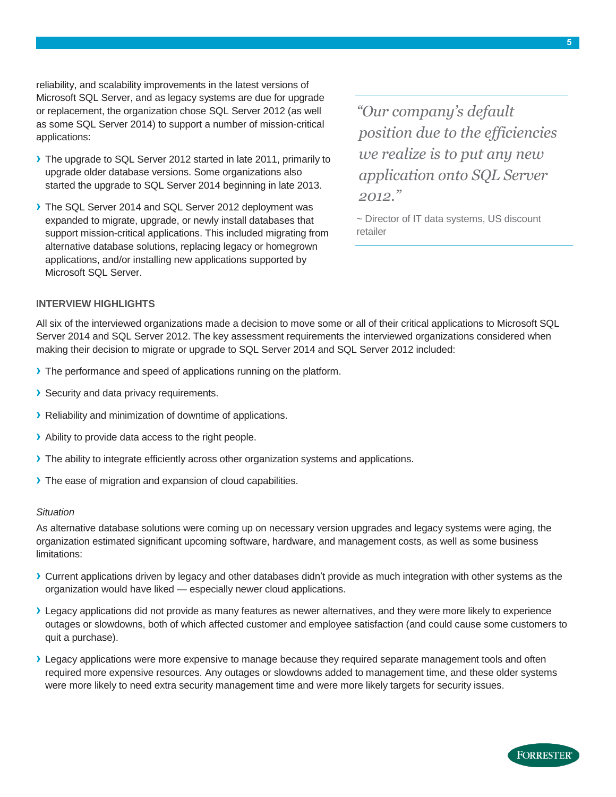reliability, and scalability improvements in the latest versions of Microsoft SQL Server, and as legacy systems are due for upgrade or replacement, the organization chose SQL Server 2012 (as well as some SQL Server 2014) to support a number of mission-critical applications:

- **›** The upgrade to SQL Server 2012 started in late 2011, primarily to upgrade older database versions. Some organizations also started the upgrade to SQL Server 2014 beginning in late 2013.
- **›** The SQL Server 2014 and SQL Server 2012 deployment was expanded to migrate, upgrade, or newly install databases that support mission-critical applications. This included migrating from alternative database solutions, replacing legacy or homegrown applications, and/or installing new applications supported by Microsoft SQL Server.

*"Our company's default position due to the efficiencies we realize is to put any new application onto SQL Server 2012."*

~ Director of IT data systems, US discount retailer

#### **INTERVIEW HIGHLIGHTS**

All six of the interviewed organizations made a decision to move some or all of their critical applications to Microsoft SQL Server 2014 and SQL Server 2012. The key assessment requirements the interviewed organizations considered when making their decision to migrate or upgrade to SQL Server 2014 and SQL Server 2012 included:

- **›** The performance and speed of applications running on the platform.
- **›** Security and data privacy requirements.
- **›** Reliability and minimization of downtime of applications.
- **›** Ability to provide data access to the right people.
- **›** The ability to integrate efficiently across other organization systems and applications.
- **›** The ease of migration and expansion of cloud capabilities.

#### *Situation*

As alternative database solutions were coming up on necessary version upgrades and legacy systems were aging, the organization estimated significant upcoming software, hardware, and management costs, as well as some business limitations:

- **›** Current applications driven by legacy and other databases didn't provide as much integration with other systems as the organization would have liked — especially newer cloud applications.
- **›** Legacy applications did not provide as many features as newer alternatives, and they were more likely to experience outages or slowdowns, both of which affected customer and employee satisfaction (and could cause some customers to quit a purchase).
- **›** Legacy applications were more expensive to manage because they required separate management tools and often required more expensive resources. Any outages or slowdowns added to management time, and these older systems were more likely to need extra security management time and were more likely targets for security issues.

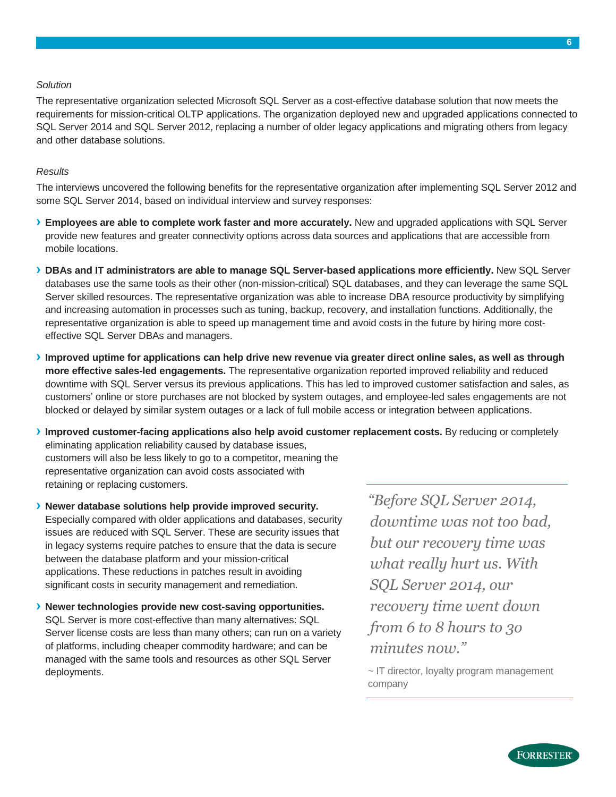#### *Solution*

The representative organization selected Microsoft SQL Server as a cost-effective database solution that now meets the requirements for mission-critical OLTP applications. The organization deployed new and upgraded applications connected to SQL Server 2014 and SQL Server 2012, replacing a number of older legacy applications and migrating others from legacy and other database solutions.

#### *Results*

The interviews uncovered the following benefits for the representative organization after implementing SQL Server 2012 and some SQL Server 2014, based on individual interview and survey responses:

- **› Employees are able to complete work faster and more accurately.** New and upgraded applications with SQL Server provide new features and greater connectivity options across data sources and applications that are accessible from mobile locations.
- **› DBAs and IT administrators are able to manage SQL Server-based applications more efficiently.** New SQL Server databases use the same tools as their other (non-mission-critical) SQL databases, and they can leverage the same SQL Server skilled resources. The representative organization was able to increase DBA resource productivity by simplifying and increasing automation in processes such as tuning, backup, recovery, and installation functions. Additionally, the representative organization is able to speed up management time and avoid costs in the future by hiring more costeffective SQL Server DBAs and managers.
- Improved uptime for applications can help drive new revenue via greater direct online sales, as well as through **more effective sales-led engagements.** The representative organization reported improved reliability and reduced downtime with SQL Server versus its previous applications. This has led to improved customer satisfaction and sales, as customers' online or store purchases are not blocked by system outages, and employee-led sales engagements are not blocked or delayed by similar system outages or a lack of full mobile access or integration between applications.
- **› Improved customer-facing applications also help avoid customer replacement costs.** By reducing or completely eliminating application reliability caused by database issues, customers will also be less likely to go to a competitor, meaning the representative organization can avoid costs associated with retaining or replacing customers.

**› Newer database solutions help provide improved security.** Especially compared with older applications and databases, security issues are reduced with SQL Server. These are security issues that in legacy systems require patches to ensure that the data is secure between the database platform and your mission-critical applications. These reductions in patches result in avoiding significant costs in security management and remediation.

**› Newer technologies provide new cost-saving opportunities.** SQL Server is more cost-effective than many alternatives: SQL Server license costs are less than many others; can run on a variety of platforms, including cheaper commodity hardware; and can be managed with the same tools and resources as other SQL Server deployments.

*"Before SQL Server 2014, downtime was not too bad, but our recovery time was what really hurt us. With SQL Server 2014, our recovery time went down from 6 to 8 hours to 3o minutes now."*

~ IT director, loyalty program management company

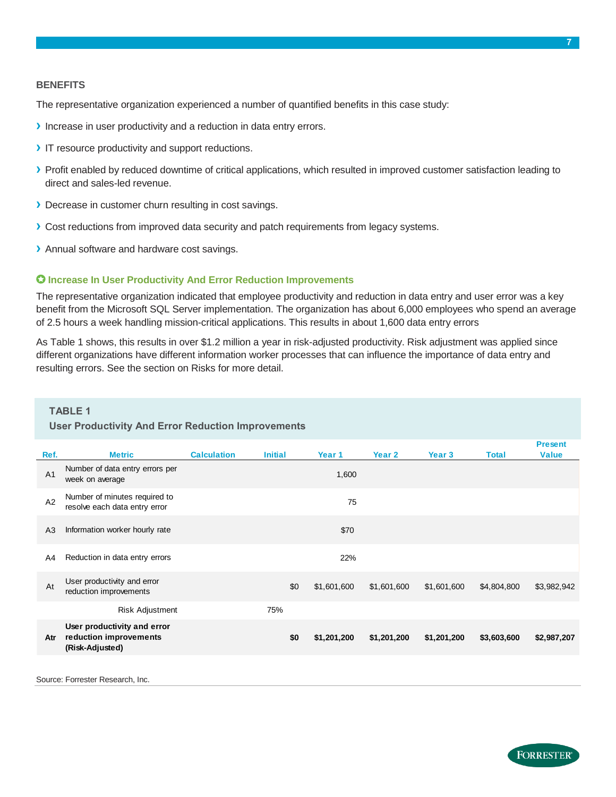#### **BENEFITS**

The representative organization experienced a number of quantified benefits in this case study:

- **›** Increase in user productivity and a reduction in data entry errors.
- **›** IT resource productivity and support reductions.
- **›** Profit enabled by reduced downtime of critical applications, which resulted in improved customer satisfaction leading to direct and sales-led revenue.
- **›** Decrease in customer churn resulting in cost savings.
- **›** Cost reductions from improved data security and patch requirements from legacy systems.
- **›** Annual software and hardware cost savings.

#### **Increase In User Productivity And Error Reduction Improvements**

The representative organization indicated that employee productivity and reduction in data entry and user error was a key benefit from the Microsoft SQL Server implementation. The organization has about 6,000 employees who spend an average of 2.5 hours a week handling mission-critical applications. This results in about 1,600 data entry errors

As Table 1 shows, this results in over \$1.2 million a year in risk-adjusted productivity. Risk adjustment was applied since different organizations have different information worker processes that can influence the importance of data entry and resulting errors. See the section on Risks for more detail.

# **TABLE 1**

|                | <b>User Productivity And Error Reduction Improvements</b>                |                    |                |     |             |             |                   |              |                                |  |  |
|----------------|--------------------------------------------------------------------------|--------------------|----------------|-----|-------------|-------------|-------------------|--------------|--------------------------------|--|--|
| Ref.           | <b>Metric</b>                                                            | <b>Calculation</b> | <b>Initial</b> |     | Year 1      | Year 2      | Year <sub>3</sub> | <b>Total</b> | <b>Present</b><br><b>Value</b> |  |  |
| A <sub>1</sub> | Number of data entry errors per<br>week on average                       |                    |                |     | 1,600       |             |                   |              |                                |  |  |
| A2             | Number of minutes required to<br>resolve each data entry error           |                    |                |     | 75          |             |                   |              |                                |  |  |
| A <sub>3</sub> | Information worker hourly rate                                           |                    |                |     | \$70        |             |                   |              |                                |  |  |
| A4             | Reduction in data entry errors                                           |                    |                |     | 22%         |             |                   |              |                                |  |  |
| At             | User productivity and error<br>reduction improvements                    |                    |                | \$0 | \$1,601,600 | \$1,601,600 | \$1,601,600       | \$4,804,800  | \$3,982,942                    |  |  |
|                | Risk Adjustment                                                          |                    | 75%            |     |             |             |                   |              |                                |  |  |
| Atr            | User productivity and error<br>reduction improvements<br>(Risk-Adjusted) |                    |                | \$0 | \$1,201,200 | \$1,201,200 | \$1,201,200       | \$3,603,600  | \$2,987,207                    |  |  |

Source: Forrester Research, Inc.

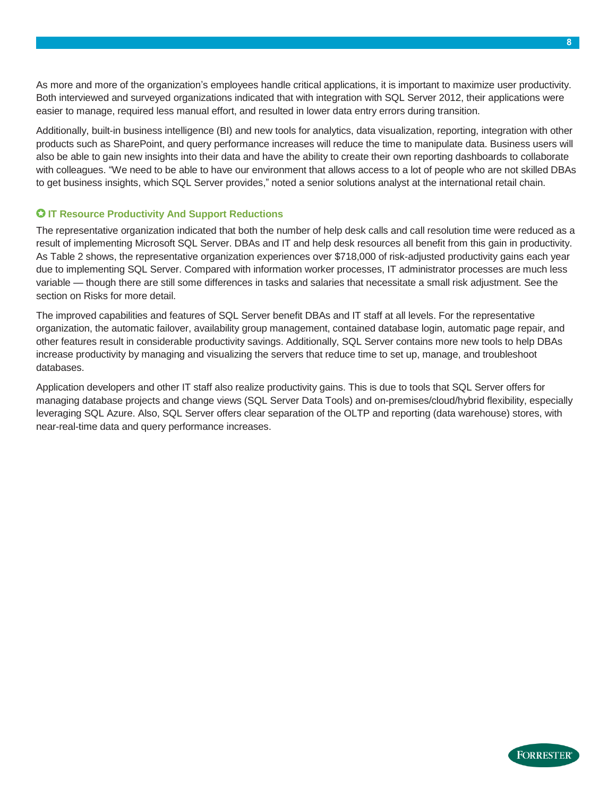As more and more of the organization's employees handle critical applications, it is important to maximize user productivity. Both interviewed and surveyed organizations indicated that with integration with SQL Server 2012, their applications were easier to manage, required less manual effort, and resulted in lower data entry errors during transition.

Additionally, built-in business intelligence (BI) and new tools for analytics, data visualization, reporting, integration with other products such as SharePoint, and query performance increases will reduce the time to manipulate data. Business users will also be able to gain new insights into their data and have the ability to create their own reporting dashboards to collaborate with colleagues. "We need to be able to have our environment that allows access to a lot of people who are not skilled DBAs to get business insights, which SQL Server provides," noted a senior solutions analyst at the international retail chain.

#### **IT Resource Productivity And Support Reductions**

The representative organization indicated that both the number of help desk calls and call resolution time were reduced as a result of implementing Microsoft SQL Server. DBAs and IT and help desk resources all benefit from this gain in productivity. As Table 2 shows, the representative organization experiences over \$718,000 of risk-adjusted productivity gains each year due to implementing SQL Server. Compared with information worker processes, IT administrator processes are much less variable — though there are still some differences in tasks and salaries that necessitate a small risk adjustment. See the section on Risks for more detail.

The improved capabilities and features of SQL Server benefit DBAs and IT staff at all levels. For the representative organization, the automatic failover, availability group management, contained database login, automatic page repair, and other features result in considerable productivity savings. Additionally, SQL Server contains more new tools to help DBAs increase productivity by managing and visualizing the servers that reduce time to set up, manage, and troubleshoot databases.

Application developers and other IT staff also realize productivity gains. This is due to tools that SQL Server offers for managing database projects and change views (SQL Server Data Tools) and on-premises/cloud/hybrid flexibility, especially leveraging SQL Azure. Also, SQL Server offers clear separation of the OLTP and reporting (data warehouse) stores, with near-real-time data and query performance increases.

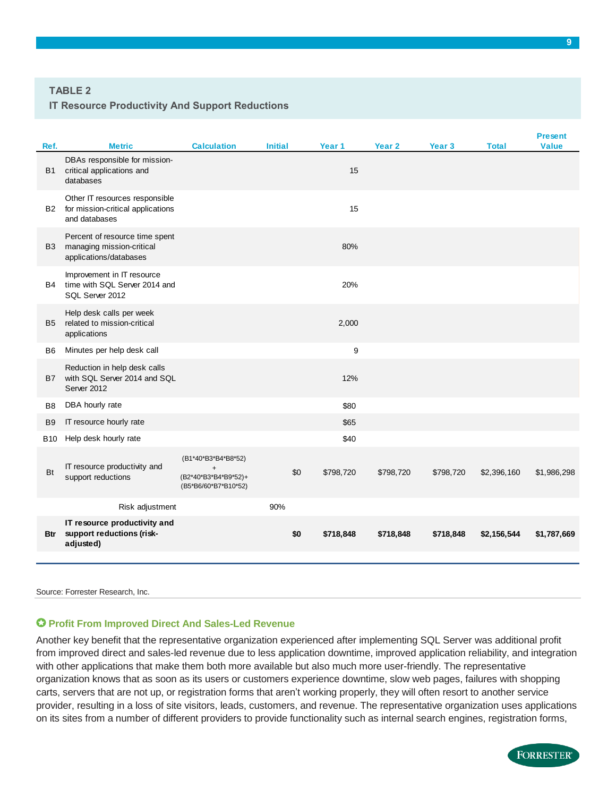#### **TABLE 2**

#### **IT Resource Productivity And Support Reductions**

| <b>Metric</b><br>DBAs responsible for mission-                                        | <b>Calculation</b>                                       | <b>Initial</b>       |           |                   |           |             | <b>Present</b> |
|---------------------------------------------------------------------------------------|----------------------------------------------------------|----------------------|-----------|-------------------|-----------|-------------|----------------|
|                                                                                       |                                                          |                      | Year 1    | Year <sub>2</sub> | Year 3    | Total       | <b>Value</b>   |
| databases                                                                             |                                                          |                      | 15        |                   |           |             |                |
| Other IT resources responsible<br>for mission-critical applications<br>and databases  |                                                          |                      | 15        |                   |           |             |                |
| Percent of resource time spent<br>managing mission-critical<br>applications/databases |                                                          |                      | 80%       |                   |           |             |                |
| Improvement in IT resource<br>time with SQL Server 2014 and<br>SQL Server 2012        |                                                          |                      | 20%       |                   |           |             |                |
| Help desk calls per week<br>related to mission-critical<br>applications               |                                                          |                      | 2,000     |                   |           |             |                |
| Minutes per help desk call                                                            |                                                          |                      | 9         |                   |           |             |                |
| Reduction in help desk calls<br>with SQL Server 2014 and SQL<br>Server 2012           |                                                          |                      | 12%       |                   |           |             |                |
| DBA hourly rate                                                                       |                                                          |                      | \$80      |                   |           |             |                |
| IT resource hourly rate                                                               |                                                          |                      | \$65      |                   |           |             |                |
| Help desk hourly rate                                                                 |                                                          |                      | \$40      |                   |           |             |                |
| IT resource productivity and<br>support reductions                                    | (B1*40*B3*B4*B8*52)<br>$\ddot{}$<br>(B5*B6/60*B7*B10*52) | \$0                  | \$798,720 | \$798,720         | \$798,720 | \$2,396,160 | \$1,986,298    |
| Risk adjustment                                                                       |                                                          | 90%                  |           |                   |           |             |                |
| IT resource productivity and<br>support reductions (risk-<br>adjusted)                |                                                          | \$0                  | \$718,848 | \$718,848         | \$718,848 | \$2,156,544 | \$1,787,669    |
|                                                                                       | critical applications and                                | (B2*40*B3*B4*B9*52)+ |           |                   |           |             |                |

Source: Forrester Research, Inc.

#### **Profit From Improved Direct And Sales-Led Revenue**

Another key benefit that the representative organization experienced after implementing SQL Server was additional profit from improved direct and sales-led revenue due to less application downtime, improved application reliability, and integration with other applications that make them both more available but also much more user-friendly. The representative organization knows that as soon as its users or customers experience downtime, slow web pages, failures with shopping carts, servers that are not up, or registration forms that aren't working properly, they will often resort to another service provider, resulting in a loss of site visitors, leads, customers, and revenue. The representative organization uses applications on its sites from a number of different providers to provide functionality such as internal search engines, registration forms,

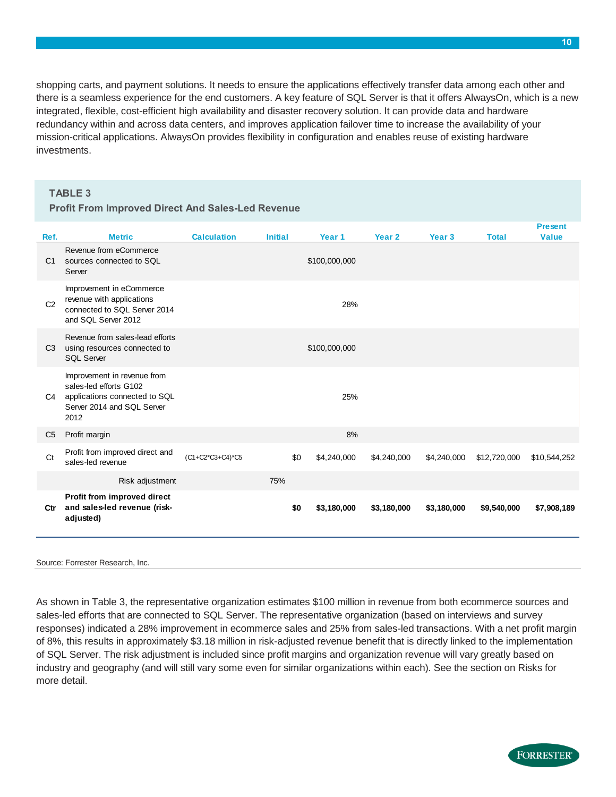shopping carts, and payment solutions. It needs to ensure the applications effectively transfer data among each other and there is a seamless experience for the end customers. A key feature of SQL Server is that it offers AlwaysOn, which is a new integrated, flexible, cost-efficient high availability and disaster recovery solution. It can provide data and hardware redundancy within and across data centers, and improves application failover time to increase the availability of your mission-critical applications. AlwaysOn provides flexibility in configuration and enables reuse of existing hardware investments.

#### **TABLE 3**

#### **Profit From Improved Direct And Sales-Led Revenue**

| Ref.           | <b>Metric</b>                                                                                                                | <b>Calculation</b> | <b>Initial</b> |     | Year 1        | Year 2      | Year 3      | <b>Total</b> | <b>Present</b><br><b>Value</b> |
|----------------|------------------------------------------------------------------------------------------------------------------------------|--------------------|----------------|-----|---------------|-------------|-------------|--------------|--------------------------------|
| C <sub>1</sub> | Revenue from eCommerce<br>sources connected to SQL<br>Server                                                                 |                    |                |     | \$100,000,000 |             |             |              |                                |
| C <sub>2</sub> | Improvement in eCommerce<br>revenue with applications<br>connected to SQL Server 2014<br>and SQL Server 2012                 |                    |                |     | 28%           |             |             |              |                                |
| C <sub>3</sub> | Revenue from sales-lead efforts<br>using resources connected to<br><b>SQL Server</b>                                         |                    |                |     | \$100,000,000 |             |             |              |                                |
| C4             | Improvement in revenue from<br>sales-led efforts G102<br>applications connected to SQL<br>Server 2014 and SQL Server<br>2012 |                    |                |     | 25%           |             |             |              |                                |
| C <sub>5</sub> | Profit margin                                                                                                                |                    |                |     | 8%            |             |             |              |                                |
| C <sub>t</sub> | Profit from improved direct and<br>sales-led revenue                                                                         | (C1+C2*C3+C4)*C5   |                | \$0 | \$4,240,000   | \$4,240,000 | \$4,240,000 | \$12,720,000 | \$10,544,252                   |
|                | Risk adjustment                                                                                                              |                    | 75%            |     |               |             |             |              |                                |
| Ctr            | Profit from improved direct<br>and sales-led revenue (risk-<br>adjusted)                                                     |                    |                | \$0 | \$3,180,000   | \$3,180,000 | \$3,180,000 | \$9,540,000  | \$7,908,189                    |
|                |                                                                                                                              |                    |                |     |               |             |             |              |                                |

#### Source: Forrester Research, Inc.

As shown in Table 3, the representative organization estimates \$100 million in revenue from both ecommerce sources and sales-led efforts that are connected to SQL Server. The representative organization (based on interviews and survey responses) indicated a 28% improvement in ecommerce sales and 25% from sales-led transactions. With a net profit margin of 8%, this results in approximately \$3.18 million in risk-adjusted revenue benefit that is directly linked to the implementation of SQL Server. The risk adjustment is included since profit margins and organization revenue will vary greatly based on industry and geography (and will still vary some even for similar organizations within each). See the section on Risks for more detail.

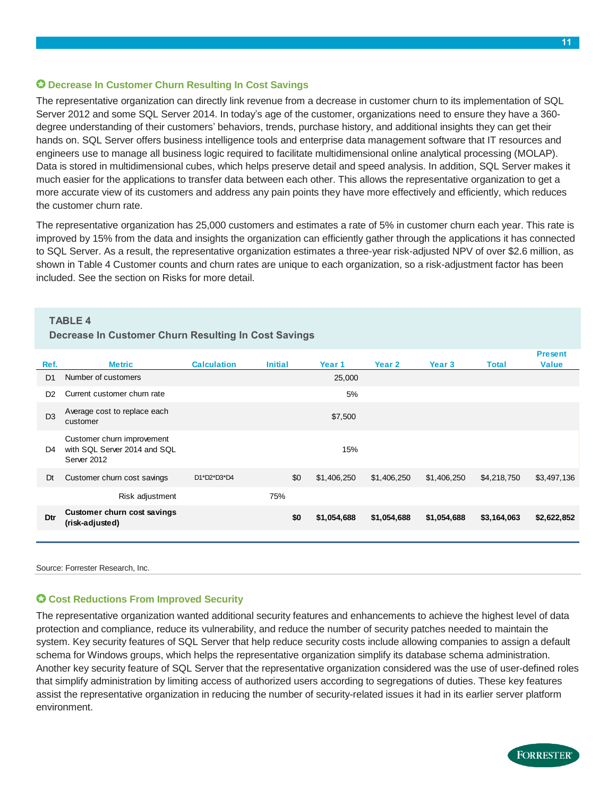#### **Decrease In Customer Churn Resulting In Cost Savings**

The representative organization can directly link revenue from a decrease in customer churn to its implementation of SQL Server 2012 and some SQL Server 2014. In today's age of the customer, organizations need to ensure they have a 360 degree understanding of their customers' behaviors, trends, purchase history, and additional insights they can get their hands on. SQL Server offers business intelligence tools and enterprise data management software that IT resources and engineers use to manage all business logic required to facilitate multidimensional online analytical processing (MOLAP). Data is stored in multidimensional cubes, which helps preserve detail and speed analysis. In addition, SQL Server makes it much easier for the applications to transfer data between each other. This allows the representative organization to get a more accurate view of its customers and address any pain points they have more effectively and efficiently, which reduces the customer churn rate.

The representative organization has 25,000 customers and estimates a rate of 5% in customer churn each year. This rate is improved by 15% from the data and insights the organization can efficiently gather through the applications it has connected to SQL Server. As a result, the representative organization estimates a three-year risk-adjusted NPV of over \$2.6 million, as shown in Table 4 Customer counts and churn rates are unique to each organization, so a risk-adjustment factor has been included. See the section on Risks for more detail.

#### **TABLE 4**

#### **Decrease In Customer Churn Resulting In Cost Savings**

| Ref.           | <b>Metric</b>                                                             | <b>Calculation</b> | <b>Initial</b> |     | Year 1      | Year 2      | Year <sub>3</sub> | <b>Total</b> | <b>Present</b><br><b>Value</b> |
|----------------|---------------------------------------------------------------------------|--------------------|----------------|-----|-------------|-------------|-------------------|--------------|--------------------------------|
| D <sub>1</sub> | Number of customers                                                       |                    |                |     | 25,000      |             |                   |              |                                |
| D <sub>2</sub> | Current customer churn rate                                               |                    |                |     | 5%          |             |                   |              |                                |
| D <sub>3</sub> | Average cost to replace each<br>customer                                  |                    |                |     | \$7,500     |             |                   |              |                                |
| D4             | Customer churn improvement<br>with SQL Server 2014 and SQL<br>Server 2012 |                    |                |     | 15%         |             |                   |              |                                |
| Dt             | Customer churn cost savings                                               | D1*D2*D3*D4        |                | \$0 | \$1,406,250 | \$1,406,250 | \$1,406,250       | \$4,218,750  | \$3,497,136                    |
|                | Risk adjustment                                                           |                    | 75%            |     |             |             |                   |              |                                |
| Dtr            | <b>Customer churn cost savings</b><br>(risk-adjusted)                     |                    |                | \$0 | \$1,054,688 | \$1,054,688 | \$1,054,688       | \$3,164,063  | \$2,622,852                    |
|                |                                                                           |                    |                |     |             |             |                   |              |                                |

Source: Forrester Research, Inc.

#### **Cost Reductions From Improved Security**

The representative organization wanted additional security features and enhancements to achieve the highest level of data protection and compliance, reduce its vulnerability, and reduce the number of security patches needed to maintain the system. Key security features of SQL Server that help reduce security costs include allowing companies to assign a default schema for Windows groups, which helps the representative organization simplify its database schema administration. Another key security feature of SQL Server that the representative organization considered was the use of user-defined roles that simplify administration by limiting access of authorized users according to segregations of duties. These key features assist the representative organization in reducing the number of security-related issues it had in its earlier server platform environment.

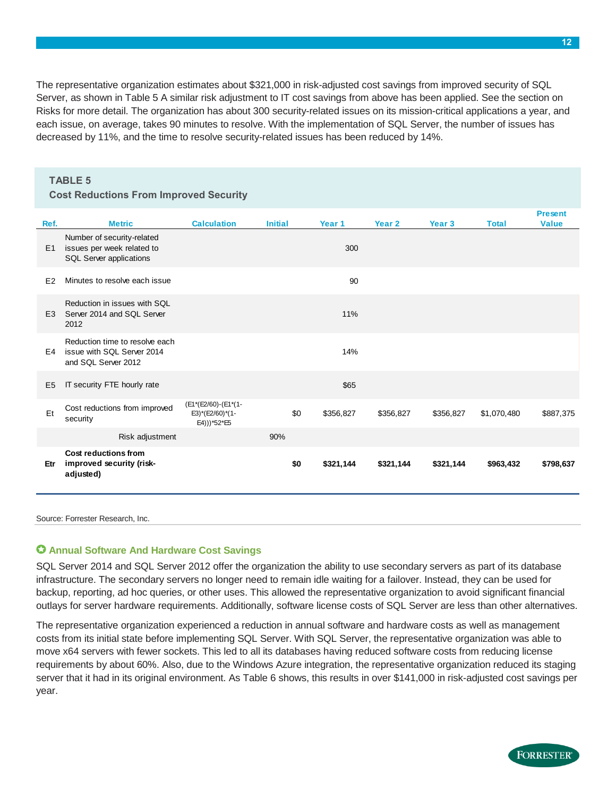The representative organization estimates about \$321,000 in risk-adjusted cost savings from improved security of SQL Server, as shown in Table 5 A similar risk adjustment to IT cost savings from above has been applied. See the section on Risks for more detail. The organization has about 300 security-related issues on its mission-critical applications a year, and each issue, on average, takes 90 minutes to resolve. With the implementation of SQL Server, the number of issues has decreased by 11%, and the time to resolve security-related issues has been reduced by 14%.

|                | <b>TABLE 5</b>                                                                      |                                                       |                |     |           |                   |                   |              |                |
|----------------|-------------------------------------------------------------------------------------|-------------------------------------------------------|----------------|-----|-----------|-------------------|-------------------|--------------|----------------|
|                | <b>Cost Reductions From Improved Security</b>                                       |                                                       |                |     |           |                   |                   |              |                |
|                |                                                                                     |                                                       |                |     |           |                   |                   |              | <b>Present</b> |
| Ref.           | <b>Metric</b>                                                                       | <b>Calculation</b>                                    | <b>Initial</b> |     | Year 1    | Year <sub>2</sub> | Year <sub>3</sub> | <b>Total</b> | <b>Value</b>   |
| E <sub>1</sub> | Number of security-related<br>issues per week related to<br>SQL Server applications |                                                       |                |     | 300       |                   |                   |              |                |
| E <sub>2</sub> | Minutes to resolve each issue                                                       |                                                       |                |     | 90        |                   |                   |              |                |
| E <sub>3</sub> | Reduction in issues with SQL<br>Server 2014 and SQL Server<br>2012                  |                                                       |                |     | 11%       |                   |                   |              |                |
| E4             | Reduction time to resolve each<br>issue with SQL Server 2014<br>and SQL Server 2012 |                                                       |                |     | 14%       |                   |                   |              |                |
| E <sub>5</sub> | IT security FTE hourly rate                                                         |                                                       |                |     | \$65      |                   |                   |              |                |
| Et             | Cost reductions from improved<br>security                                           | (E1*(E2/60)-(E1*(1-<br>E3)*(E2/60)*(1-<br>E4)))*52*E5 |                | \$0 | \$356,827 | \$356,827         | \$356,827         | \$1,070,480  | \$887,375      |
|                | Risk adjustment                                                                     |                                                       | 90%            |     |           |                   |                   |              |                |
| Etr            | Cost reductions from<br>improved security (risk-<br>adjusted)                       |                                                       |                | \$0 | \$321,144 | \$321,144         | \$321,144         | \$963,432    | \$798,637      |
|                |                                                                                     |                                                       |                |     |           |                   |                   |              |                |

Source: Forrester Research, Inc.

#### **Annual Software And Hardware Cost Savings**

SQL Server 2014 and SQL Server 2012 offer the organization the ability to use secondary servers as part of its database infrastructure. The secondary servers no longer need to remain idle waiting for a failover. Instead, they can be used for backup, reporting, ad hoc queries, or other uses. This allowed the representative organization to avoid significant financial outlays for server hardware requirements. Additionally, software license costs of SQL Server are less than other alternatives.

The representative organization experienced a reduction in annual software and hardware costs as well as management costs from its initial state before implementing SQL Server. With SQL Server, the representative organization was able to move x64 servers with fewer sockets. This led to all its databases having reduced software costs from reducing license requirements by about 60%. Also, due to the Windows Azure integration, the representative organization reduced its staging server that it had in its original environment. As Table 6 shows, this results in over \$141,000 in risk-adjusted cost savings per year.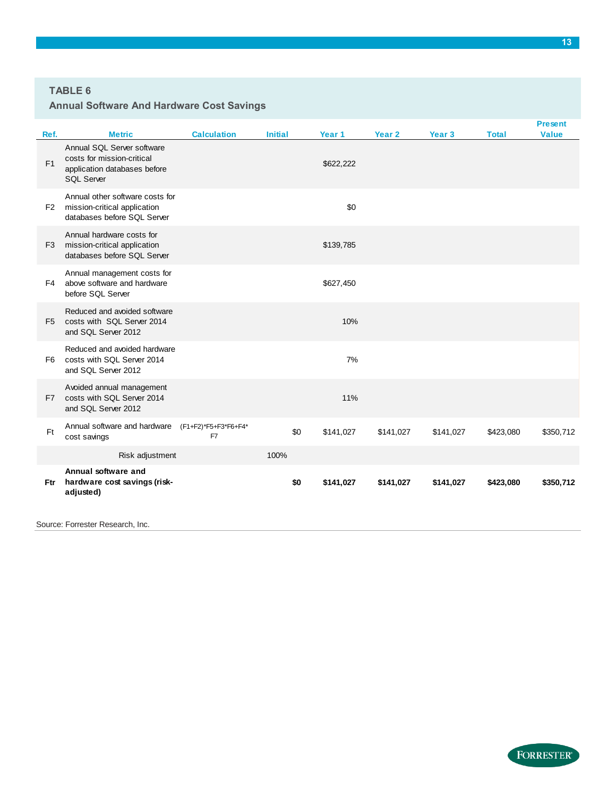#### **TABLE 6**

#### **Annual Software And Hardware Cost Savings**

| Ref.           | <b>Metric</b>                                                                                                 | <b>Calculation</b>         | <b>Initial</b> | Year 1    | Year <sub>2</sub> | Year <sub>3</sub> | <b>Total</b> | <b>Present</b><br><b>Value</b> |
|----------------|---------------------------------------------------------------------------------------------------------------|----------------------------|----------------|-----------|-------------------|-------------------|--------------|--------------------------------|
| F <sub>1</sub> | Annual SQL Server software<br>costs for mission-critical<br>application databases before<br><b>SQL Server</b> |                            |                | \$622,222 |                   |                   |              |                                |
| F <sub>2</sub> | Annual other software costs for<br>mission-critical application<br>databases before SQL Server                |                            |                | \$0       |                   |                   |              |                                |
| F <sub>3</sub> | Annual hardware costs for<br>mission-critical application<br>databases before SQL Server                      |                            |                | \$139,785 |                   |                   |              |                                |
| F4             | Annual management costs for<br>above software and hardware<br>before SQL Server                               |                            |                | \$627,450 |                   |                   |              |                                |
| F <sub>5</sub> | Reduced and avoided software<br>costs with SQL Server 2014<br>and SQL Server 2012                             |                            |                | 10%       |                   |                   |              |                                |
| F <sub>6</sub> | Reduced and avoided hardware<br>costs with SQL Server 2014<br>and SQL Server 2012                             |                            |                | 7%        |                   |                   |              |                                |
| F7             | Avoided annual management<br>costs with SQL Server 2014<br>and SQL Server 2012                                |                            |                | 11%       |                   |                   |              |                                |
| <b>Ft</b>      | Annual software and hardware<br>cost savings                                                                  | (F1+F2)*F5+F3*F6+F4*<br>F7 | \$0            | \$141,027 | \$141,027         | \$141,027         | \$423,080    | \$350,712                      |
|                | Risk adjustment                                                                                               |                            | 100%           |           |                   |                   |              |                                |
| Ftr            | Annual software and<br>hardware cost savings (risk-<br>adjusted)                                              |                            | \$0            | \$141,027 | \$141,027         | \$141,027         | \$423,080    | \$350,712                      |

Source: Forrester Research, Inc.

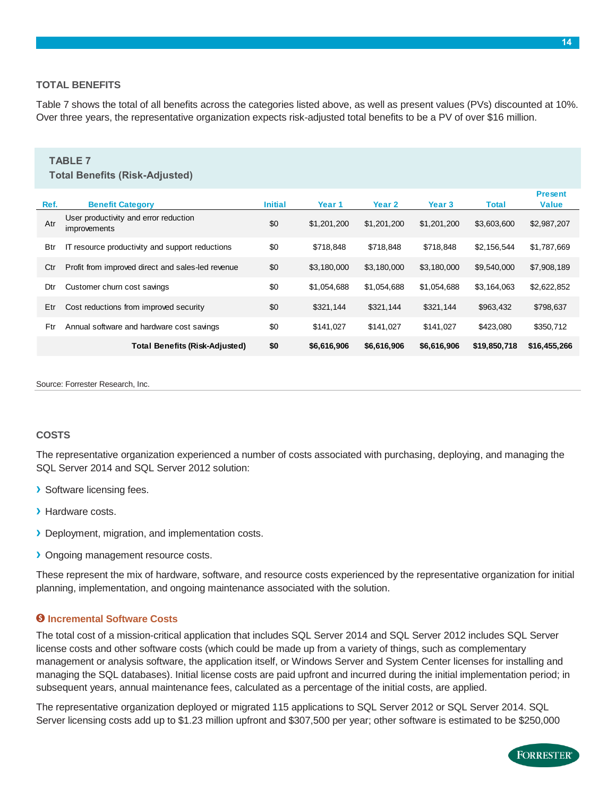#### **14**

#### **TOTAL BENEFITS**

Table 7 shows the total of all benefits across the categories listed above, as well as present values (PVs) discounted at 10%. Over three years, the representative organization expects risk-adjusted total benefits to be a PV of over \$16 million.

#### **TABLE 7 Total Benefits (Risk-Adjusted) Ref. Initial Year 1 Year 2 Year 3 Total Benefit Category Present Value** Atr *became the contract of the contract text* of the text of the text of the text of the text of text of text of text of text of text of text of text of text of text of text of text of text of text of text of text of text Btr IT resource productivity and support reductions  $$718,848 $718,848 $718,848 $718,848$ Ctr Profit from improved direct and sales-led revenue  $$0$   $$3,180,000$   $$3,180,000$   $$3,180,000$   $$9,540,000$   $$7,908,189$ Dtr \$0 \$1,054,688 \$1,054,688 \$1,054,688 \$3,164,063 \$2,622,852 Customer churn cost savings Etr Cost reductions from improved security 60  $$321,144$  \$321,144 \$321,144 \$963,432 \$798,637 Ftr Annual software and hardware cost savings  $\begin{array}{cc}\n\text{$\$0$} & \text{$\$141,027}\n\end{array}\n\quad \begin{array}{cc}\n\text{$\$141,027} & \text{$\$141,027}\n\end{array}\n\quad \begin{array}{cc}\n\text{$\$423,080} & \text{$\$350,712}\n\end{array}$ **\$0 \$6,616,906 \$6,616,906 \$6,616,906 \$19,850,718 \$16,455,266** User productivity and error reduction improvements **Total Benefits (Risk-Adjusted)**

Source: Forrester Research, Inc.

#### **COSTS**

The representative organization experienced a number of costs associated with purchasing, deploying, and managing the SQL Server 2014 and SQL Server 2012 solution:

- **›** Software licensing fees.
- **›** Hardware costs.
- **›** Deployment, migration, and implementation costs.
- **›** Ongoing management resource costs.

These represent the mix of hardware, software, and resource costs experienced by the representative organization for initial planning, implementation, and ongoing maintenance associated with the solution.

#### **Incremental Software Costs**

The total cost of a mission-critical application that includes SQL Server 2014 and SQL Server 2012 includes SQL Server license costs and other software costs (which could be made up from a variety of things, such as complementary management or analysis software, the application itself, or Windows Server and System Center licenses for installing and managing the SQL databases). Initial license costs are paid upfront and incurred during the initial implementation period; in subsequent years, annual maintenance fees, calculated as a percentage of the initial costs, are applied.

The representative organization deployed or migrated 115 applications to SQL Server 2012 or SQL Server 2014. SQL Server licensing costs add up to \$1.23 million upfront and \$307,500 per year; other software is estimated to be \$250,000

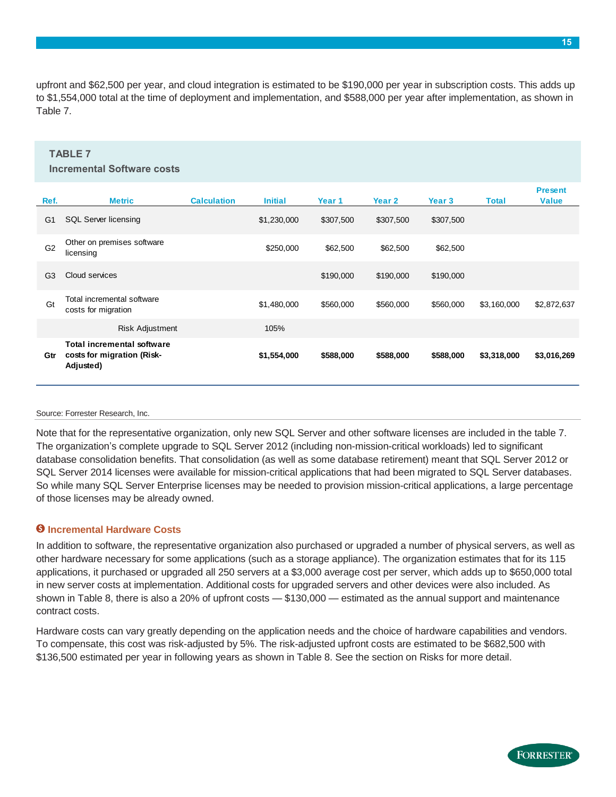upfront and \$62,500 per year, and cloud integration is estimated to be \$190,000 per year in subscription costs. This adds up to \$1,554,000 total at the time of deployment and implementation, and \$588,000 per year after implementation, as shown in Table 7.

#### **TABLE 7**

#### **Incremental Software costs**

| Ref.           | <b>Metric</b>                                                         | <b>Calculation</b> | <b>Initial</b> | Year 1    | Year 2    | Year 3    | <b>Total</b> | <b>Present</b><br><b>Value</b> |
|----------------|-----------------------------------------------------------------------|--------------------|----------------|-----------|-----------|-----------|--------------|--------------------------------|
| G <sub>1</sub> | <b>SQL Server licensing</b>                                           |                    | \$1,230,000    | \$307,500 | \$307,500 | \$307,500 |              |                                |
| G <sub>2</sub> | Other on premises software<br>licensing                               |                    | \$250,000      | \$62,500  | \$62,500  | \$62,500  |              |                                |
| G <sub>3</sub> | Cloud services                                                        |                    |                | \$190,000 | \$190,000 | \$190,000 |              |                                |
| Gt             | Total incremental software<br>costs for migration                     |                    | \$1,480,000    | \$560,000 | \$560,000 | \$560,000 | \$3,160,000  | \$2,872,637                    |
|                | <b>Risk Adjustment</b>                                                |                    | 105%           |           |           |           |              |                                |
| Gtr            | Total incremental software<br>costs for migration (Risk-<br>Adjusted) |                    | \$1,554,000    | \$588,000 | \$588,000 | \$588,000 | \$3,318,000  | \$3,016,269                    |

#### Source: Forrester Research, Inc.

Note that for the representative organization, only new SQL Server and other software licenses are included in the table 7. The organization's complete upgrade to SQL Server 2012 (including non-mission-critical workloads) led to significant database consolidation benefits. That consolidation (as well as some database retirement) meant that SQL Server 2012 or SQL Server 2014 licenses were available for mission-critical applications that had been migrated to SQL Server databases. So while many SQL Server Enterprise licenses may be needed to provision mission-critical applications, a large percentage of those licenses may be already owned.

#### **Incremental Hardware Costs**

In addition to software, the representative organization also purchased or upgraded a number of physical servers, as well as other hardware necessary for some applications (such as a storage appliance). The organization estimates that for its 115 applications, it purchased or upgraded all 250 servers at a \$3,000 average cost per server, which adds up to \$650,000 total in new server costs at implementation. Additional costs for upgraded servers and other devices were also included. As shown in Table 8, there is also a 20% of upfront costs — \$130,000 — estimated as the annual support and maintenance contract costs.

Hardware costs can vary greatly depending on the application needs and the choice of hardware capabilities and vendors. To compensate, this cost was risk-adjusted by 5%. The risk-adjusted upfront costs are estimated to be \$682,500 with \$136,500 estimated per year in following years as shown in Table 8. See the section on Risks for more detail.

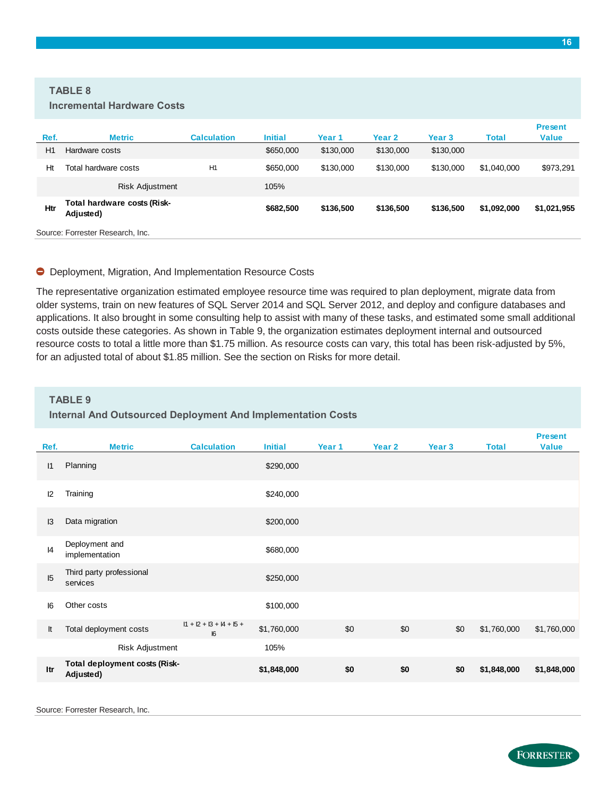#### **TABLE 8**

| Ref. | <b>Metric</b>                            | <b>Calculation</b> | <b>Initial</b> | Year 1    | Year 2    | <b>Year 3</b> | <b>Total</b> | <b>Present</b><br><b>Value</b> |  |  |
|------|------------------------------------------|--------------------|----------------|-----------|-----------|---------------|--------------|--------------------------------|--|--|
| H1   | Hardware costs                           |                    | \$650,000      | \$130,000 | \$130,000 | \$130,000     |              |                                |  |  |
| Ht   | Total hardware costs                     | H <sub>1</sub>     | \$650,000      | \$130,000 | \$130,000 | \$130,000     | \$1,040,000  | \$973,291                      |  |  |
|      | <b>Risk Adjustment</b>                   |                    | 105%           |           |           |               |              |                                |  |  |
| Htr  | Total hardware costs (Risk-<br>Adjusted) |                    | \$682,500      | \$136,500 | \$136,500 | \$136,500     | \$1,092,000  | \$1,021,955                    |  |  |
|      | Source: Forrester Research, Inc.         |                    |                |           |           |               |              |                                |  |  |

#### Deployment, Migration, And Implementation Resource Costs

The representative organization estimated employee resource time was required to plan deployment, migrate data from older systems, train on new features of SQL Server 2014 and SQL Server 2012, and deploy and configure databases and applications. It also brought in some consulting help to assist with many of these tasks, and estimated some small additional costs outside these categories. As shown in Table 9, the organization estimates deployment internal and outsourced resource costs to total a little more than \$1.75 million. As resource costs can vary, this total has been risk-adjusted by 5%, for an adjusted total of about \$1.85 million. See the section on Risks for more detail.

#### **TABLE 9**

#### **Internal And Outsourced Deployment And Implementation Costs**

| Ref.         | <b>Metric</b>                              | <b>Calculation</b>               | <b>Initial</b> | Year 1 | Year 2 | Year 3 | <b>Total</b> | <b>Present</b><br><b>Value</b> |
|--------------|--------------------------------------------|----------------------------------|----------------|--------|--------|--------|--------------|--------------------------------|
| $\mathsf{I}$ | Planning                                   |                                  | \$290,000      |        |        |        |              |                                |
| 12           | Training                                   |                                  | \$240,000      |        |        |        |              |                                |
| 13           | Data migration                             |                                  | \$200,000      |        |        |        |              |                                |
| 4            | Deployment and<br>implementation           |                                  | \$680,000      |        |        |        |              |                                |
| 15           | Third party professional<br>services       |                                  | \$250,000      |        |        |        |              |                                |
| 16           | Other costs                                |                                  | \$100,000      |        |        |        |              |                                |
| It           | Total deployment costs                     | $11 + 12 + 13 + 14 + 15 +$<br> 6 | \$1,760,000    | \$0    | \$0    | \$0    | \$1,760,000  | \$1,760,000                    |
|              | Risk Adjustment                            |                                  | 105%           |        |        |        |              |                                |
| Itr          | Total deployment costs (Risk-<br>Adjusted) |                                  | \$1,848,000    | \$0    | \$0    | \$0    | \$1,848,000  | \$1,848,000                    |
|              |                                            |                                  |                |        |        |        |              |                                |

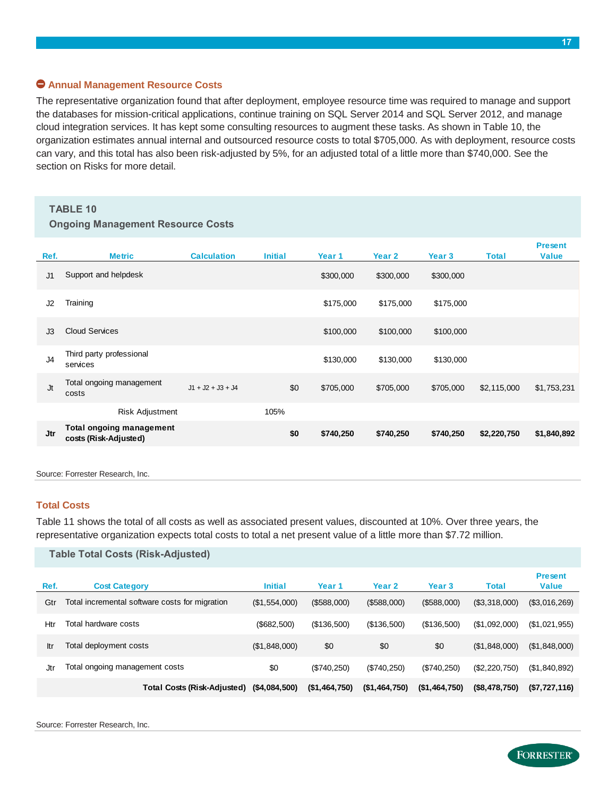#### **Annual Management Resource Costs**

The representative organization found that after deployment, employee resource time was required to manage and support the databases for mission-critical applications, continue training on SQL Server 2014 and SQL Server 2012, and manage cloud integration services. It has kept some consulting resources to augment these tasks. As shown in Table 10, the organization estimates annual internal and outsourced resource costs to total \$705,000. As with deployment, resource costs can vary, and this total has also been risk-adjusted by 5%, for an adjusted total of a little more than \$740,000. See the section on Risks for more detail.

#### **TABLE 10**

#### **Ongoing Management Resource Costs**

| Ref.       | <b>Metric</b>                                     | <b>Calculation</b>  | <b>Initial</b> | Year 1    | Year 2    | Year 3    | <b>Total</b> | <b>Present</b><br><b>Value</b> |
|------------|---------------------------------------------------|---------------------|----------------|-----------|-----------|-----------|--------------|--------------------------------|
| J1         | Support and helpdesk                              |                     |                | \$300,000 | \$300,000 | \$300,000 |              |                                |
| J2         | Training                                          |                     |                | \$175,000 | \$175,000 | \$175,000 |              |                                |
| J3         | <b>Cloud Services</b>                             |                     |                | \$100,000 | \$100,000 | \$100,000 |              |                                |
| J4         | Third party professional<br>services              |                     |                | \$130,000 | \$130,000 | \$130,000 |              |                                |
| Jt         | Total ongoing management<br>costs                 | $J1 + J2 + J3 + J4$ | \$0            | \$705,000 | \$705,000 | \$705,000 | \$2,115,000  | \$1,753,231                    |
|            | Risk Adjustment                                   |                     | 105%           |           |           |           |              |                                |
| <b>Jtr</b> | Total ongoing management<br>costs (Risk-Adjusted) |                     | \$0            | \$740,250 | \$740,250 | \$740,250 | \$2,220,750  | \$1,840,892                    |

Source: Forrester Research, Inc.

#### **Total Costs**

Table 11 shows the total of all costs as well as associated present values, discounted at 10%. Over three years, the representative organization expects total costs to total a net present value of a little more than \$7.72 million.

|      | Table Total Costs (Risk-Adjusted)              |                |               |               |               |               |                                |
|------|------------------------------------------------|----------------|---------------|---------------|---------------|---------------|--------------------------------|
| Ref. | <b>Cost Category</b>                           | <b>Initial</b> | Year 1        | Year 2        | Year 3        | <b>Total</b>  | <b>Present</b><br><b>Value</b> |
| Gtr  | Total incremental software costs for migration | (\$1,554,000)  | (\$588,000)   | (\$588,000)   | (\$588,000)   | (\$3,318,000) | (\$3,016,269)                  |
| Htr  | Total hardware costs                           | (\$682,500)    | (\$136,500)   | (\$136,500)   | (\$136,500)   | (\$1,092,000) | (S1, 021, 955)                 |
| ltr  | Total deployment costs                         | (\$1,848,000)  | \$0           | \$0           | \$0           | (\$1,848,000) | (\$1,848,000)                  |
| .Jtr | Total ongoing management costs                 | \$0            | $(\$740,250)$ | (\$740,250)   | (\$740,250)   | (\$2,220,750) | (S1, 840, 892)                 |
|      | Total Costs (Risk-Adjusted)                    | (\$4,084,500)  | (\$1,464,750) | (\$1,464,750) | (\$1,464,750) | (\$8,478,750) | (\$7,727,116)                  |

Source: Forrester Research, Inc.

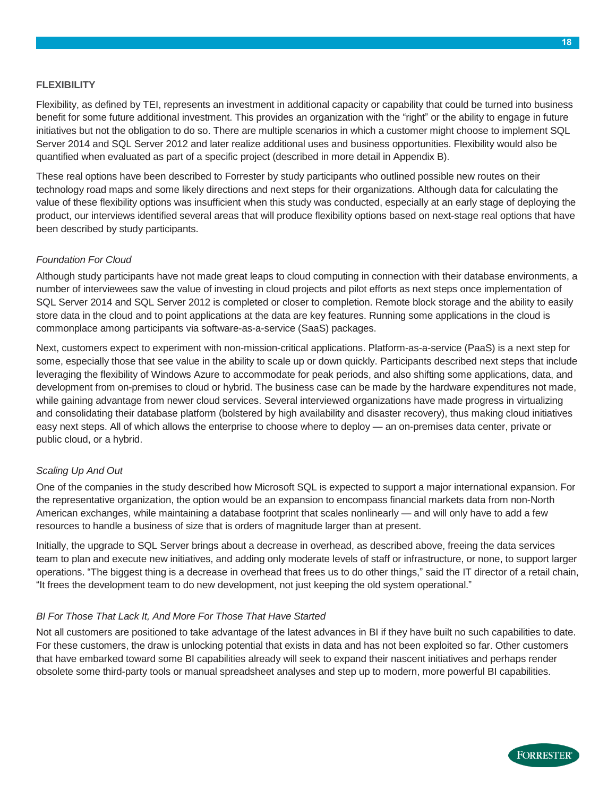#### **FLEXIBILITY**

Flexibility, as defined by TEI, represents an investment in additional capacity or capability that could be turned into business benefit for some future additional investment. This provides an organization with the "right" or the ability to engage in future initiatives but not the obligation to do so. There are multiple scenarios in which a customer might choose to implement SQL Server 2014 and SQL Server 2012 and later realize additional uses and business opportunities. Flexibility would also be quantified when evaluated as part of a specific project (described in more detail in Appendix B).

These real options have been described to Forrester by study participants who outlined possible new routes on their technology road maps and some likely directions and next steps for their organizations. Although data for calculating the value of these flexibility options was insufficient when this study was conducted, especially at an early stage of deploying the product, our interviews identified several areas that will produce flexibility options based on next-stage real options that have been described by study participants.

#### *Foundation For Cloud*

Although study participants have not made great leaps to cloud computing in connection with their database environments, a number of interviewees saw the value of investing in cloud projects and pilot efforts as next steps once implementation of SQL Server 2014 and SQL Server 2012 is completed or closer to completion. Remote block storage and the ability to easily store data in the cloud and to point applications at the data are key features. Running some applications in the cloud is commonplace among participants via software-as-a-service (SaaS) packages.

Next, customers expect to experiment with non-mission-critical applications. Platform-as-a-service (PaaS) is a next step for some, especially those that see value in the ability to scale up or down quickly. Participants described next steps that include leveraging the flexibility of Windows Azure to accommodate for peak periods, and also shifting some applications, data, and development from on-premises to cloud or hybrid. The business case can be made by the hardware expenditures not made, while gaining advantage from newer cloud services. Several interviewed organizations have made progress in virtualizing and consolidating their database platform (bolstered by high availability and disaster recovery), thus making cloud initiatives easy next steps. All of which allows the enterprise to choose where to deploy — an on-premises data center, private or public cloud, or a hybrid.

#### *Scaling Up And Out*

One of the companies in the study described how Microsoft SQL is expected to support a major international expansion. For the representative organization, the option would be an expansion to encompass financial markets data from non-North American exchanges, while maintaining a database footprint that scales nonlinearly — and will only have to add a few resources to handle a business of size that is orders of magnitude larger than at present.

Initially, the upgrade to SQL Server brings about a decrease in overhead, as described above, freeing the data services team to plan and execute new initiatives, and adding only moderate levels of staff or infrastructure, or none, to support larger operations. "The biggest thing is a decrease in overhead that frees us to do other things," said the IT director of a retail chain, "It frees the development team to do new development, not just keeping the old system operational."

#### *BI For Those That Lack It, And More For Those That Have Started*

Not all customers are positioned to take advantage of the latest advances in BI if they have built no such capabilities to date. For these customers, the draw is unlocking potential that exists in data and has not been exploited so far. Other customers that have embarked toward some BI capabilities already will seek to expand their nascent initiatives and perhaps render obsolete some third-party tools or manual spreadsheet analyses and step up to modern, more powerful BI capabilities.

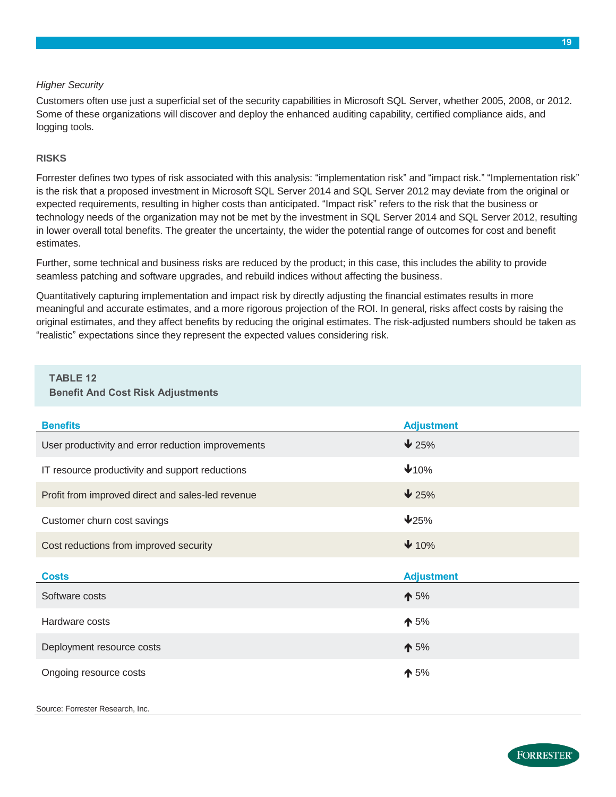#### *Higher Security*

Customers often use just a superficial set of the security capabilities in Microsoft SQL Server, whether 2005, 2008, or 2012. Some of these organizations will discover and deploy the enhanced auditing capability, certified compliance aids, and logging tools.

#### **RISKS**

Forrester defines two types of risk associated with this analysis: "implementation risk" and "impact risk." "Implementation risk" is the risk that a proposed investment in Microsoft SQL Server 2014 and SQL Server 2012 may deviate from the original or expected requirements, resulting in higher costs than anticipated. "Impact risk" refers to the risk that the business or technology needs of the organization may not be met by the investment in SQL Server 2014 and SQL Server 2012, resulting in lower overall total benefits. The greater the uncertainty, the wider the potential range of outcomes for cost and benefit estimates.

Further, some technical and business risks are reduced by the product; in this case, this includes the ability to provide seamless patching and software upgrades, and rebuild indices without affecting the business.

Quantitatively capturing implementation and impact risk by directly adjusting the financial estimates results in more meaningful and accurate estimates, and a more rigorous projection of the ROI. In general, risks affect costs by raising the original estimates, and they affect benefits by reducing the original estimates. The risk-adjusted numbers should be taken as "realistic" expectations since they represent the expected values considering risk.

#### **TABLE 12 Benefit And Cost Risk Adjustments**

| <b>Benefits</b>                                    | <b>Adjustment</b> |
|----------------------------------------------------|-------------------|
| User productivity and error reduction improvements | $\bigvee$ 25%     |
| IT resource productivity and support reductions    | 410%              |
| Profit from improved direct and sales-led revenue  | $\bigvee 25\%$    |
| Customer churn cost savings                        | 425%              |
| Cost reductions from improved security             | $\bigvee$ 10%     |
|                                                    |                   |
| <b>Costs</b>                                       | <b>Adjustment</b> |
| Software costs                                     | $\spadesuit$ 5%   |
| Hardware costs                                     | $\spadesuit$ 5%   |
| Deployment resource costs                          | $\spadesuit$ 5%   |

Source: Forrester Research, Inc.

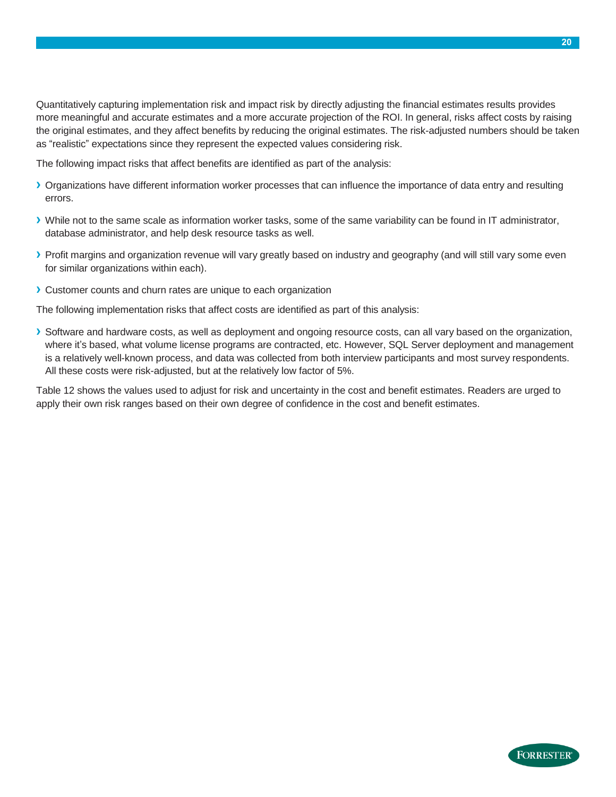Quantitatively capturing implementation risk and impact risk by directly adjusting the financial estimates results provides more meaningful and accurate estimates and a more accurate projection of the ROI. In general, risks affect costs by raising the original estimates, and they affect benefits by reducing the original estimates. The risk-adjusted numbers should be taken as "realistic" expectations since they represent the expected values considering risk.

The following impact risks that affect benefits are identified as part of the analysis:

- **›** Organizations have different information worker processes that can influence the importance of data entry and resulting errors.
- **›** While not to the same scale as information worker tasks, some of the same variability can be found in IT administrator, database administrator, and help desk resource tasks as well.
- **›** Profit margins and organization revenue will vary greatly based on industry and geography (and will still vary some even for similar organizations within each).
- **›** Customer counts and churn rates are unique to each organization

The following implementation risks that affect costs are identified as part of this analysis:

**›** Software and hardware costs, as well as deployment and ongoing resource costs, can all vary based on the organization, where it's based, what volume license programs are contracted, etc. However, SQL Server deployment and management is a relatively well-known process, and data was collected from both interview participants and most survey respondents. All these costs were risk-adjusted, but at the relatively low factor of 5%.

Table 12 shows the values used to adjust for risk and uncertainty in the cost and benefit estimates. Readers are urged to apply their own risk ranges based on their own degree of confidence in the cost and benefit estimates.

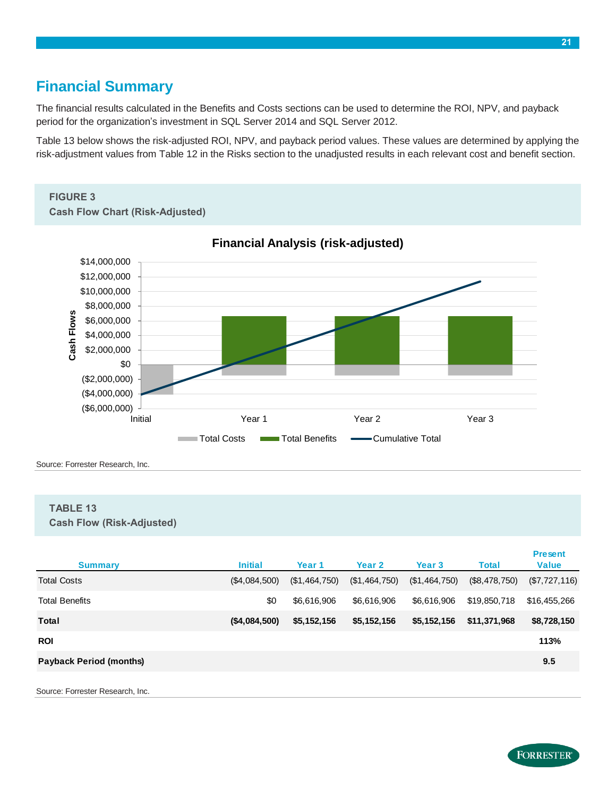### <span id="page-22-0"></span>**Financial Summary**

The financial results calculated in the Benefits and Costs sections can be used to determine the ROI, NPV, and payback period for the organization's investment in SQL Server 2014 and SQL Server 2012.

Table 13 below shows the risk-adjusted ROI, NPV, and payback period values. These values are determined by applying the risk-adjustment values from Table 12 in the Risks section to the unadjusted results in each relevant cost and benefit section.

### **FIGURE 3**

**Cash Flow Chart (Risk-Adjusted)**



**Financial Analysis (risk-adjusted)**

Source: Forrester Research, Inc.

#### **TABLE 13 Cash Flow (Risk-Adjusted)**

| <b>Summary</b>                   | <b>Initial</b> | Year <sub>1</sub> | Year 2        | <b>Year 3</b> | <b>Total</b>  | <b>Present</b><br><b>Value</b> |
|----------------------------------|----------------|-------------------|---------------|---------------|---------------|--------------------------------|
| <b>Total Costs</b>               | (\$4,084,500)  | (\$1,464,750)     | (\$1,464,750) | (\$1,464,750) | (\$8,478,750) | (\$7,727,116)                  |
| <b>Total Benefits</b>            | \$0            | \$6,616,906       | \$6,616,906   | \$6,616,906   | \$19,850,718  | \$16,455,266                   |
| <b>Total</b>                     | (\$4,084,500)  | \$5,152,156       | \$5,152,156   | \$5,152,156   | \$11,371,968  | \$8,728,150                    |
| <b>ROI</b>                       |                |                   |               |               |               | 113%                           |
| <b>Payback Period (months)</b>   |                |                   |               |               |               | 9.5                            |
| Source: Forrester Research, Inc. |                |                   |               |               |               |                                |

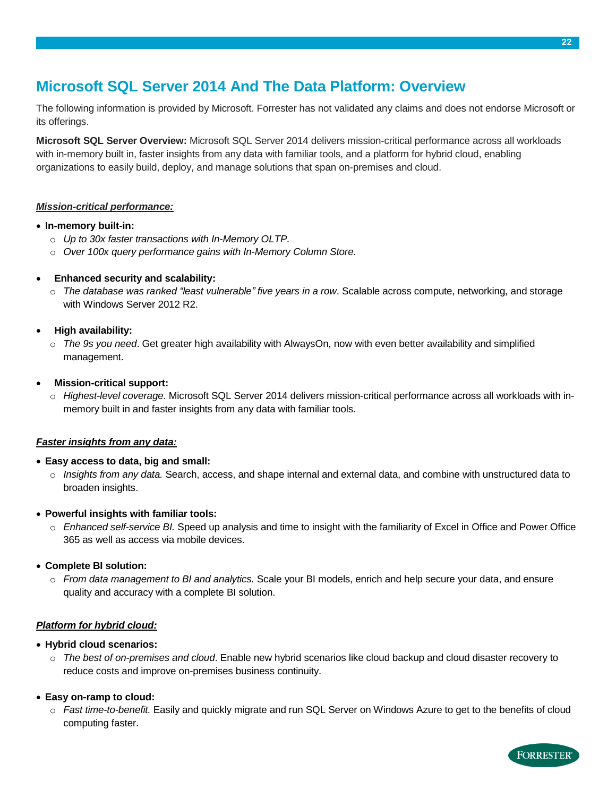# <span id="page-23-0"></span>**Microsoft SQL Server 2014 And The Data Platform: Overview**

The following information is provided by Microsoft. Forrester has not validated any claims and does not endorse Microsoft or its offerings.

**Microsoft SQL Server Overview:** Microsoft SQL Server 2014 delivers mission-critical performance across all workloads with in-memory built in, faster insights from any data with familiar tools, and a platform for hybrid cloud, enabling organizations to easily build, deploy, and manage solutions that span on-premises and cloud.

#### *Mission-critical performance:*

#### **In-memory built-in:**

- o *Up to 30x faster transactions with In-Memory OLTP.*
- o *Over 100x query performance gains with In-Memory Column Store.*

#### **Enhanced security and scalability:**

o *The database was ranked "least vulnerable" five years in a row*. Scalable across compute, networking, and storage with Windows Server 2012 R2.

#### **High availability:**

o *The 9s you need*. Get greater high availability with AlwaysOn, now with even better availability and simplified management.

#### **Mission-critical support:**

o *Highest-level coverage.* Microsoft SQL Server 2014 delivers mission-critical performance across all workloads with inmemory built in and faster insights from any data with familiar tools.

#### *Faster insights from any data:*

#### **Easy access to data, big and small:**

o *Insights from any data.* Search, access, and shape internal and external data, and combine with unstructured data to broaden insights.

#### **Powerful insights with familiar tools:**

o *Enhanced self-service BI.* Speed up analysis and time to insight with the familiarity of Excel in Office and Power Office 365 as well as access via mobile devices.

#### **Complete BI solution:**

o *From data management to BI and analytics.* Scale your BI models, enrich and help secure your data, and ensure quality and accuracy with a complete BI solution.

#### *Platform for hybrid cloud:*

#### **Hybrid cloud scenarios:**

o *The best of on-premises and cloud*. Enable new hybrid scenarios like cloud backup and cloud disaster recovery to reduce costs and improve on-premises business continuity.

#### **Easy on-ramp to cloud:**

o *Fast time-to-benefit.* Easily and quickly migrate and run SQL Server on Windows Azure to get to the benefits of cloud computing faster.

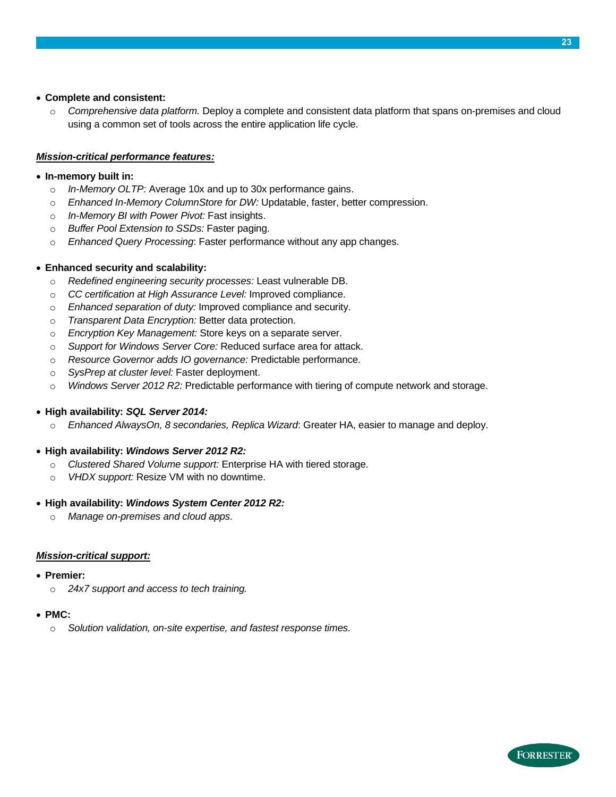#### **Complete and consistent:**

o *Comprehensive data platform.* Deploy a complete and consistent data platform that spans on-premises and cloud using a common set of tools across the entire application life cycle.

#### *Mission-critical performance features:*

#### **In-memory built in:**

- o *In-Memory OLTP:* Average 10x and up to 30x performance gains.
- o *Enhanced In-Memory ColumnStore for DW:* Updatable, faster, better compression.
- o *In-Memory BI with Power Pivot:* Fast insights.
- o *Buffer Pool Extension to SSDs:* Faster paging.
- o *Enhanced Query Processing*: Faster performance without any app changes.

#### **Enhanced security and scalability:**

- o *Redefined engineering security processes:* Least vulnerable DB.
- o *CC certification at High Assurance Level:* Improved compliance.
- o *Enhanced separation of duty:* Improved compliance and security.
- o *Transparent Data Encryption:* Better data protection.
- o *Encryption Key Management:* Store keys on a separate server.
- o *Support for Windows Server Core:* Reduced surface area for attack.
- o *Resource Governor adds IO governance:* Predictable performance.
- o *SysPrep at cluster level:* Faster deployment.
- o *Windows Server 2012 R2:* Predictable performance with tiering of compute network and storage.

#### **High availability:** *SQL Server 2014:*

o *Enhanced AlwaysOn, 8 secondaries, Replica Wizard*: Greater HA, easier to manage and deploy.

#### **High availability:** *Windows Server 2012 R2:*

- o *Clustered Shared Volume support:* Enterprise HA with tiered storage.
- o *VHDX support:* Resize VM with no downtime.

#### **High availability:** *Windows System Center 2012 R2:*

o *Manage on-premises and cloud apps.*

#### *Mission-critical support:*

- **Premier:**
	- o *24x7 support and access to tech training.*

#### **PMC:**

o *Solution validation, on-site expertise, and fastest response times.*

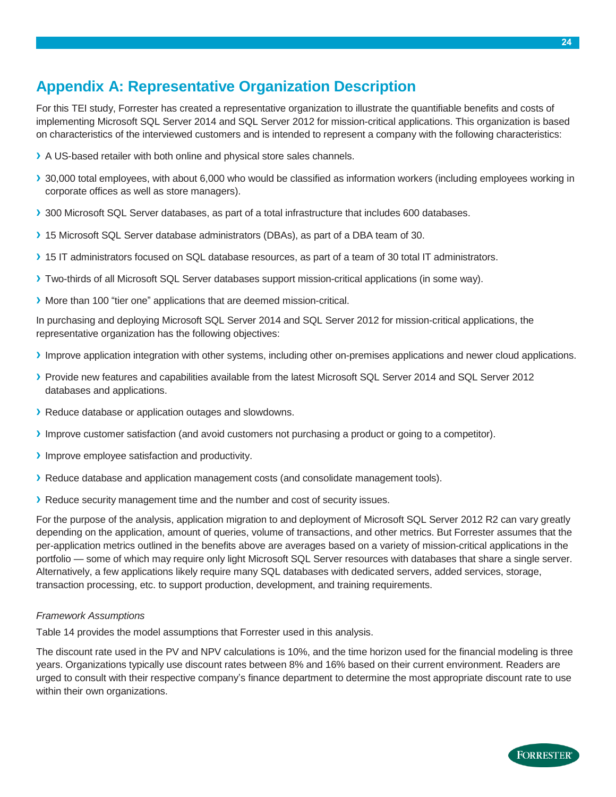# <span id="page-25-0"></span>**Appendix A: Representative Organization Description**

For this TEI study, Forrester has created a representative organization to illustrate the quantifiable benefits and costs of implementing Microsoft SQL Server 2014 and SQL Server 2012 for mission-critical applications. This organization is based on characteristics of the interviewed customers and is intended to represent a company with the following characteristics:

- **›** A US-based retailer with both online and physical store sales channels.
- **›** 30,000 total employees, with about 6,000 who would be classified as information workers (including employees working in corporate offices as well as store managers).
- **›** 300 Microsoft SQL Server databases, as part of a total infrastructure that includes 600 databases.
- **›** 15 Microsoft SQL Server database administrators (DBAs), as part of a DBA team of 30.
- **›** 15 IT administrators focused on SQL database resources, as part of a team of 30 total IT administrators.
- **›** Two-thirds of all Microsoft SQL Server databases support mission-critical applications (in some way).
- **›** More than 100 "tier one" applications that are deemed mission-critical.

In purchasing and deploying Microsoft SQL Server 2014 and SQL Server 2012 for mission-critical applications, the representative organization has the following objectives:

- **›** Improve application integration with other systems, including other on-premises applications and newer cloud applications.
- **›** Provide new features and capabilities available from the latest Microsoft SQL Server 2014 and SQL Server 2012 databases and applications.
- **›** Reduce database or application outages and slowdowns.
- **›** Improve customer satisfaction (and avoid customers not purchasing a product or going to a competitor).
- **›** Improve employee satisfaction and productivity.
- **›** Reduce database and application management costs (and consolidate management tools).
- **›** Reduce security management time and the number and cost of security issues.

For the purpose of the analysis, application migration to and deployment of Microsoft SQL Server 2012 R2 can vary greatly depending on the application, amount of queries, volume of transactions, and other metrics. But Forrester assumes that the per-application metrics outlined in the benefits above are averages based on a variety of mission-critical applications in the portfolio — some of which may require only light Microsoft SQL Server resources with databases that share a single server. Alternatively, a few applications likely require many SQL databases with dedicated servers, added services, storage, transaction processing, etc. to support production, development, and training requirements.

#### *Framework Assumptions*

Table 14 provides the model assumptions that Forrester used in this analysis.

The discount rate used in the PV and NPV calculations is 10%, and the time horizon used for the financial modeling is three years. Organizations typically use discount rates between 8% and 16% based on their current environment. Readers are urged to consult with their respective company's finance department to determine the most appropriate discount rate to use within their own organizations.

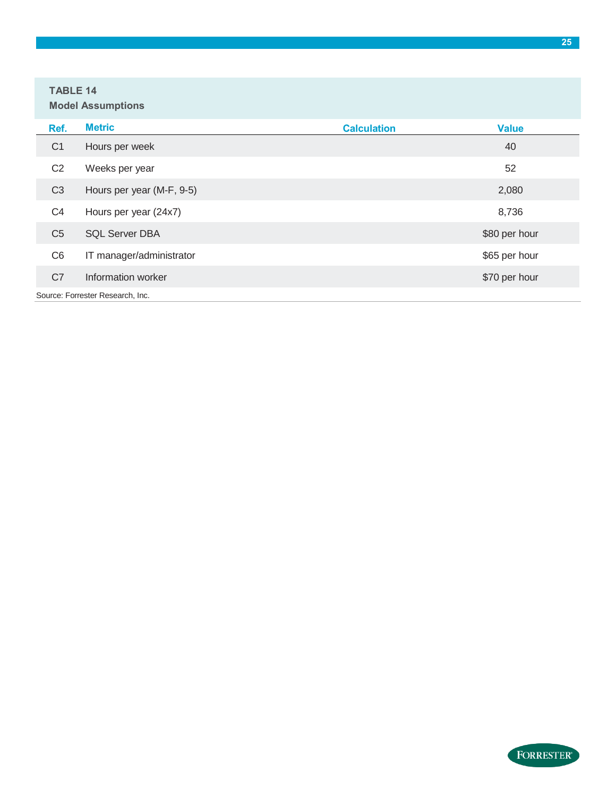#### **TABLE 14 Model Assumptions**

| Ref.           | <b>Metric</b>                    | <b>Calculation</b> | <b>Value</b>  |
|----------------|----------------------------------|--------------------|---------------|
| C <sub>1</sub> | Hours per week                   |                    | 40            |
| C <sub>2</sub> | Weeks per year                   |                    | 52            |
| C <sub>3</sub> | Hours per year (M-F, 9-5)        |                    | 2,080         |
| C <sub>4</sub> | Hours per year (24x7)            |                    | 8,736         |
| C <sub>5</sub> | <b>SQL Server DBA</b>            |                    | \$80 per hour |
| C <sub>6</sub> | IT manager/administrator         |                    | \$65 per hour |
| C7             | Information worker               |                    | \$70 per hour |
|                | Source: Forrester Research, Inc. |                    |               |

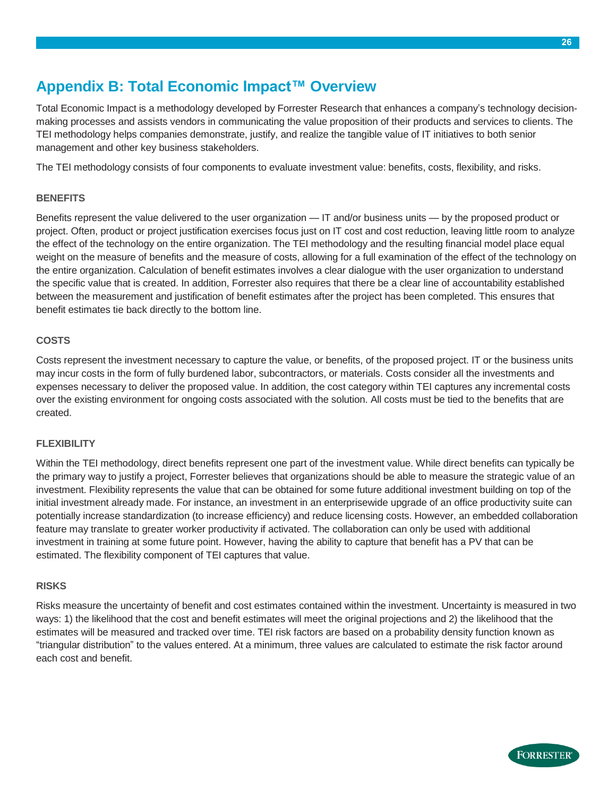# <span id="page-27-0"></span>**Appendix B: Total Economic Impact™ Overview**

Total Economic Impact is a methodology developed by Forrester Research that enhances a company's technology decisionmaking processes and assists vendors in communicating the value proposition of their products and services to clients. The TEI methodology helps companies demonstrate, justify, and realize the tangible value of IT initiatives to both senior management and other key business stakeholders.

The TEI methodology consists of four components to evaluate investment value: benefits, costs, flexibility, and risks.

#### **BENEFITS**

Benefits represent the value delivered to the user organization — IT and/or business units — by the proposed product or project. Often, product or project justification exercises focus just on IT cost and cost reduction, leaving little room to analyze the effect of the technology on the entire organization. The TEI methodology and the resulting financial model place equal weight on the measure of benefits and the measure of costs, allowing for a full examination of the effect of the technology on the entire organization. Calculation of benefit estimates involves a clear dialogue with the user organization to understand the specific value that is created. In addition, Forrester also requires that there be a clear line of accountability established between the measurement and justification of benefit estimates after the project has been completed. This ensures that benefit estimates tie back directly to the bottom line.

#### **COSTS**

Costs represent the investment necessary to capture the value, or benefits, of the proposed project. IT or the business units may incur costs in the form of fully burdened labor, subcontractors, or materials. Costs consider all the investments and expenses necessary to deliver the proposed value. In addition, the cost category within TEI captures any incremental costs over the existing environment for ongoing costs associated with the solution. All costs must be tied to the benefits that are created.

#### **FLEXIBILITY**

Within the TEI methodology, direct benefits represent one part of the investment value. While direct benefits can typically be the primary way to justify a project, Forrester believes that organizations should be able to measure the strategic value of an investment. Flexibility represents the value that can be obtained for some future additional investment building on top of the initial investment already made. For instance, an investment in an enterprisewide upgrade of an office productivity suite can potentially increase standardization (to increase efficiency) and reduce licensing costs. However, an embedded collaboration feature may translate to greater worker productivity if activated. The collaboration can only be used with additional investment in training at some future point. However, having the ability to capture that benefit has a PV that can be estimated. The flexibility component of TEI captures that value.

#### **RISKS**

Risks measure the uncertainty of benefit and cost estimates contained within the investment. Uncertainty is measured in two ways: 1) the likelihood that the cost and benefit estimates will meet the original projections and 2) the likelihood that the estimates will be measured and tracked over time. TEI risk factors are based on a probability density function known as "triangular distribution" to the values entered. At a minimum, three values are calculated to estimate the risk factor around each cost and benefit.

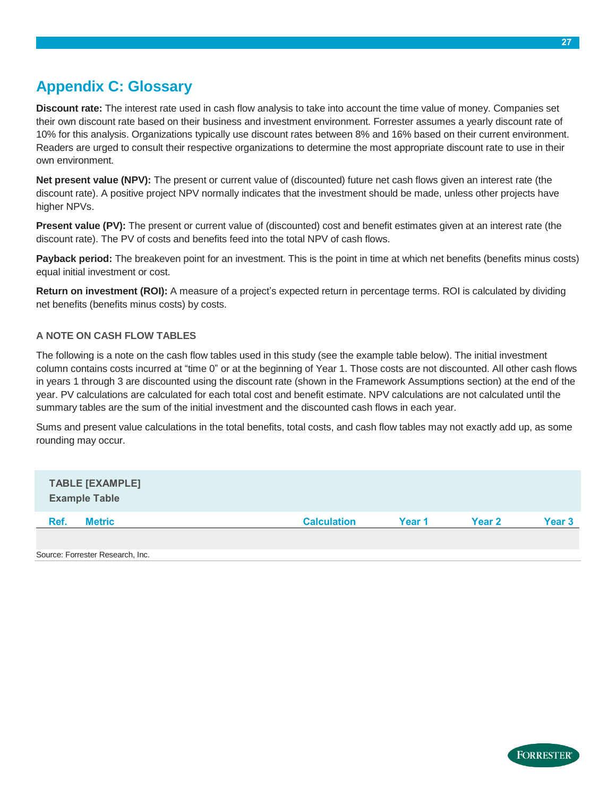# <span id="page-28-0"></span>**Appendix C: Glossary**

**Discount rate:** The interest rate used in cash flow analysis to take into account the time value of money. Companies set their own discount rate based on their business and investment environment. Forrester assumes a yearly discount rate of 10% for this analysis. Organizations typically use discount rates between 8% and 16% based on their current environment. Readers are urged to consult their respective organizations to determine the most appropriate discount rate to use in their own environment.

**Net present value (NPV):** The present or current value of (discounted) future net cash flows given an interest rate (the discount rate). A positive project NPV normally indicates that the investment should be made, unless other projects have higher NPVs.

**Present value (PV):** The present or current value of (discounted) cost and benefit estimates given at an interest rate (the discount rate). The PV of costs and benefits feed into the total NPV of cash flows.

**Payback period:** The breakeven point for an investment. This is the point in time at which net benefits (benefits minus costs) equal initial investment or cost.

**Return on investment (ROI):** A measure of a project's expected return in percentage terms. ROI is calculated by dividing net benefits (benefits minus costs) by costs.

#### **A NOTE ON CASH FLOW TABLES**

The following is a note on the cash flow tables used in this study (see the example table below). The initial investment column contains costs incurred at "time 0" or at the beginning of Year 1. Those costs are not discounted. All other cash flows in years 1 through 3 are discounted using the discount rate (shown in the Framework Assumptions section) at the end of the year. PV calculations are calculated for each total cost and benefit estimate. NPV calculations are not calculated until the summary tables are the sum of the initial investment and the discounted cash flows in each year.

Sums and present value calculations in the total benefits, total costs, and cash flow tables may not exactly add up, as some rounding may occur.

| <b>TABLE [EXAMPLE]</b><br><b>Example Table</b> |                    |        |               |        |
|------------------------------------------------|--------------------|--------|---------------|--------|
| Ref.<br><b>Metric</b>                          | <b>Calculation</b> | Year 1 | <b>Year 2</b> | Year 3 |
|                                                |                    |        |               |        |
| Source: Forrester Research, Inc.               |                    |        |               |        |